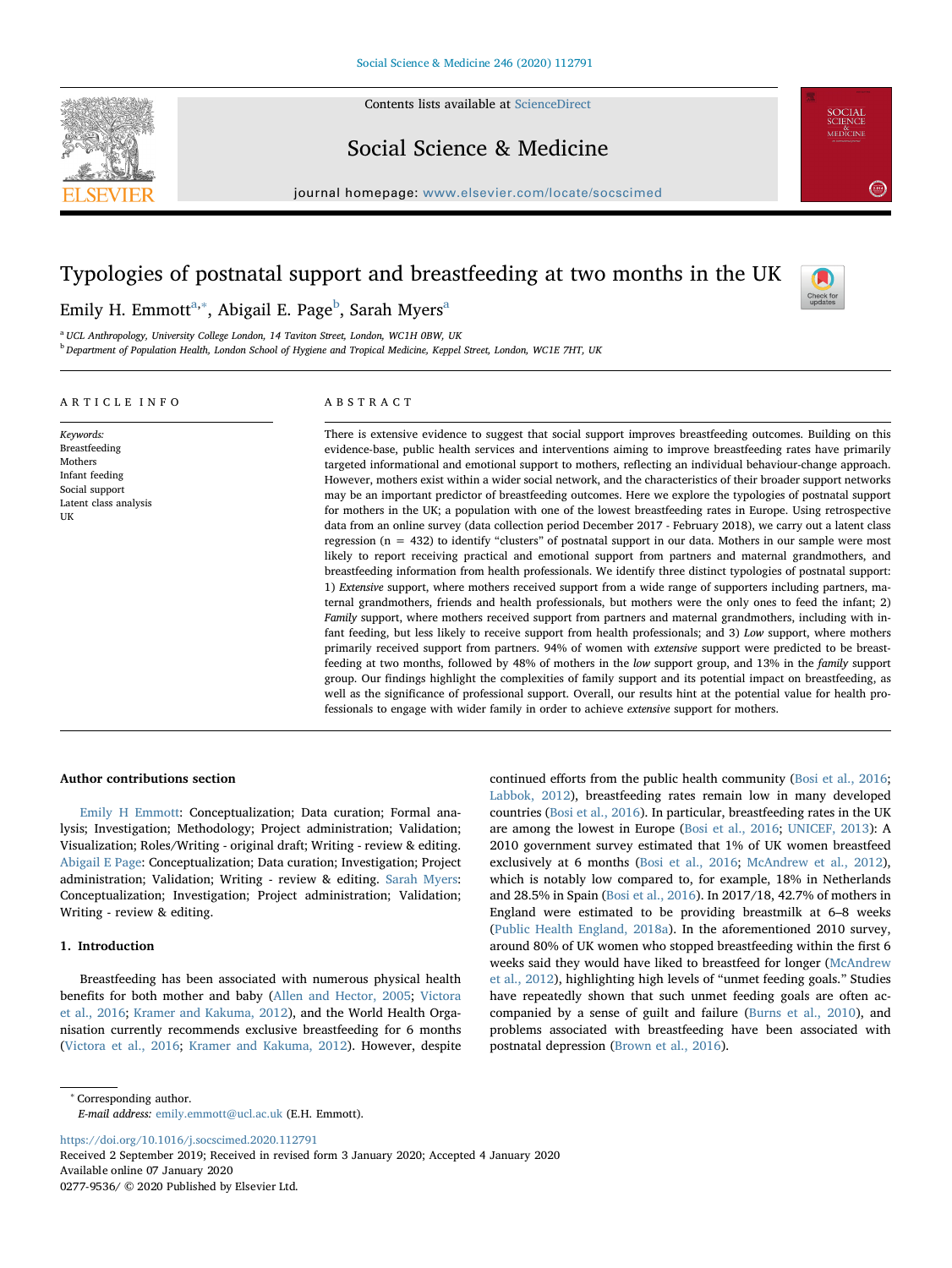

Contents lists available at [ScienceDirect](http://www.sciencedirect.com/science/journal/02779536)

Social Science & Medicine

journal homepage: [www.elsevier.com/locate/socscimed](https://www.elsevier.com/locate/socscimed)

# Typologies of postnatal support and breastfeeding at two months in the UK



SOCIAL<br>SCIENCE<br>MEDICINE

 $\left(2.814\right)$ 

Emily H. Emmott<sup>[a,](#page-0-0)[∗](#page-0-1)</sup>, A[b](#page-0-2)ig[a](#page-0-0)il E. Page<sup>b</sup>, Sarah Myers<sup>a</sup>

<span id="page-0-0"></span><sup>a</sup> UCL Anthropology, University College London, 14 Taviton Street, London, WC1H 0BW, UK

<span id="page-0-2"></span><sup>b</sup> Department of Population Health, London School of Hygiene and Tropical Medicine, Keppel Street, London, WC1E 7HT, UK

# ARTICLE INFO

Keywords: Breastfeeding Mothers Infant feeding Social support Latent class analysis

UK

# ABSTRACT

There is extensive evidence to suggest that social support improves breastfeeding outcomes. Building on this evidence-base, public health services and interventions aiming to improve breastfeeding rates have primarily targeted informational and emotional support to mothers, reflecting an individual behaviour-change approach. However, mothers exist within a wider social network, and the characteristics of their broader support networks may be an important predictor of breastfeeding outcomes. Here we explore the typologies of postnatal support for mothers in the UK; a population with one of the lowest breastfeeding rates in Europe. Using retrospective data from an online survey (data collection period December 2017 - February 2018), we carry out a latent class regression (n = 432) to identify "clusters" of postnatal support in our data. Mothers in our sample were most likely to report receiving practical and emotional support from partners and maternal grandmothers, and breastfeeding information from health professionals. We identify three distinct typologies of postnatal support: 1) Extensive support, where mothers received support from a wide range of supporters including partners, maternal grandmothers, friends and health professionals, but mothers were the only ones to feed the infant; 2) Family support, where mothers received support from partners and maternal grandmothers, including with infant feeding, but less likely to receive support from health professionals; and 3) Low support, where mothers primarily received support from partners. 94% of women with extensive support were predicted to be breastfeeding at two months, followed by 48% of mothers in the low support group, and 13% in the family support group. Our findings highlight the complexities of family support and its potential impact on breastfeeding, as well as the significance of professional support. Overall, our results hint at the potential value for health professionals to engage with wider family in order to achieve extensive support for mothers.

# Author contributions section

Emily H Emmott: Conceptualization; Data curation; Formal analysis; Investigation; Methodology; Project administration; Validation; Visualization; Roles/Writing - original draft; Writing - review & editing. Abigail E Page: Conceptualization; Data curation; Investigation; Project administration; Validation; Writing - review & editing. Sarah Myers: Conceptualization; Investigation; Project administration; Validation; Writing - review & editing.

# 1. Introduction

Breastfeeding has been associated with numerous physical health benefits for both mother and baby [\(Allen and Hector, 2005](#page-9-0); [Victora](#page-10-0) [et al., 2016;](#page-10-0) [Kramer and Kakuma, 2012](#page-10-1)), and the World Health Organisation currently recommends exclusive breastfeeding for 6 months ([Victora et al., 2016;](#page-10-0) [Kramer and Kakuma, 2012](#page-10-1)). However, despite continued efforts from the public health community [\(Bosi et al., 2016](#page-9-1); [Labbok, 2012\)](#page-10-2), breastfeeding rates remain low in many developed countries [\(Bosi et al., 2016\)](#page-9-1). In particular, breastfeeding rates in the UK are among the lowest in Europe [\(Bosi et al., 2016;](#page-9-1) [UNICEF, 2013](#page-10-3)): A 2010 government survey estimated that 1% of UK women breastfeed exclusively at 6 months ([Bosi et al., 2016;](#page-9-1) [McAndrew et al., 2012](#page-10-4)), which is notably low compared to, for example, 18% in Netherlands and 28.5% in Spain ([Bosi et al., 2016\)](#page-9-1). In 2017/18, 42.7% of mothers in England were estimated to be providing breastmilk at 6–8 weeks ([Public Health England, 2018a](#page-10-5)). In the aforementioned 2010 survey, around 80% of UK women who stopped breastfeeding within the first 6 weeks said they would have liked to breastfeed for longer [\(McAndrew](#page-10-4) [et al., 2012\)](#page-10-4), highlighting high levels of "unmet feeding goals." Studies have repeatedly shown that such unmet feeding goals are often accompanied by a sense of guilt and failure ([Burns et al., 2010\)](#page-9-2), and problems associated with breastfeeding have been associated with postnatal depression ([Brown et al., 2016](#page-9-3)).

<span id="page-0-1"></span><sup>∗</sup> Corresponding author.

E-mail address: [emily.emmott@ucl.ac.uk](mailto:emily.emmott@ucl.ac.uk) (E.H. Emmott).

<https://doi.org/10.1016/j.socscimed.2020.112791>

Received 2 September 2019; Received in revised form 3 January 2020; Accepted 4 January 2020 Available online 07 January 2020 0277-9536/ © 2020 Published by Elsevier Ltd.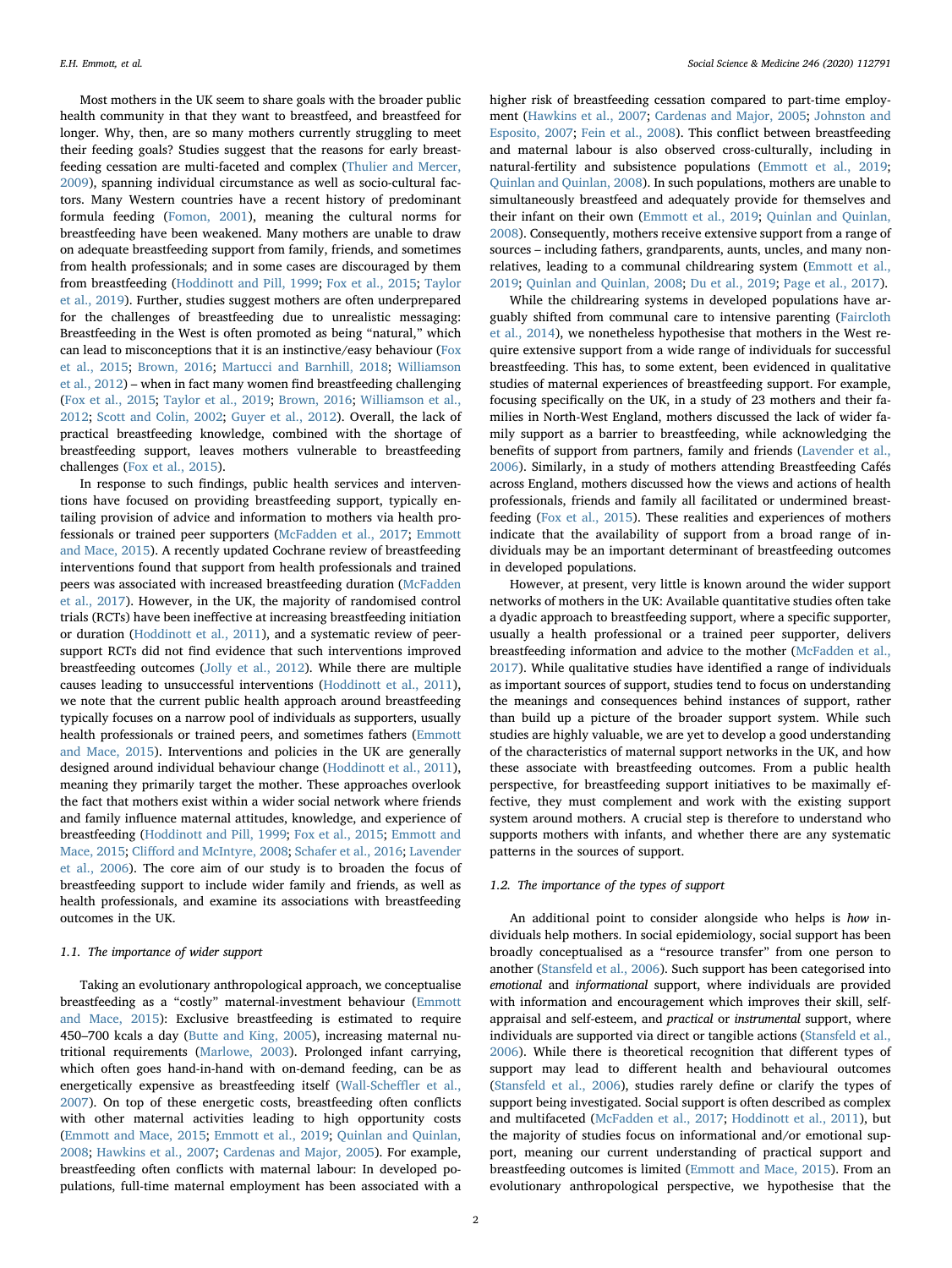Most mothers in the UK seem to share goals with the broader public health community in that they want to breastfeed, and breastfeed for longer. Why, then, are so many mothers currently struggling to meet their feeding goals? Studies suggest that the reasons for early breastfeeding cessation are multi-faceted and complex ([Thulier and Mercer,](#page-10-6) [2009\)](#page-10-6), spanning individual circumstance as well as socio-cultural factors. Many Western countries have a recent history of predominant formula feeding [\(Fomon, 2001](#page-9-4)), meaning the cultural norms for breastfeeding have been weakened. Many mothers are unable to draw on adequate breastfeeding support from family, friends, and sometimes from health professionals; and in some cases are discouraged by them from breastfeeding [\(Hoddinott and Pill, 1999;](#page-9-5) [Fox et al., 2015;](#page-9-6) [Taylor](#page-10-7) [et al., 2019\)](#page-10-7). Further, studies suggest mothers are often underprepared for the challenges of breastfeeding due to unrealistic messaging: Breastfeeding in the West is often promoted as being "natural," which can lead to misconceptions that it is an instinctive/easy behaviour ([Fox](#page-9-6) [et al., 2015](#page-9-6); [Brown, 2016](#page-9-7); [Martucci and Barnhill, 2018;](#page-10-8) [Williamson](#page-10-9) [et al., 2012\)](#page-10-9) – when in fact many women find breastfeeding challenging ([Fox et al., 2015](#page-9-6); [Taylor et al., 2019](#page-10-7); [Brown, 2016;](#page-9-7) [Williamson et al.,](#page-10-9) [2012;](#page-10-9) [Scott and Colin, 2002](#page-10-10); [Guyer et al., 2012\)](#page-9-8). Overall, the lack of practical breastfeeding knowledge, combined with the shortage of breastfeeding support, leaves mothers vulnerable to breastfeeding challenges [\(Fox et al., 2015](#page-9-6)).

In response to such findings, public health services and interventions have focused on providing breastfeeding support, typically entailing provision of advice and information to mothers via health professionals or trained peer supporters [\(McFadden et al., 2017](#page-10-11); [Emmott](#page-9-9) [and Mace, 2015\)](#page-9-9). A recently updated Cochrane review of breastfeeding interventions found that support from health professionals and trained peers was associated with increased breastfeeding duration [\(McFadden](#page-10-11) [et al., 2017\)](#page-10-11). However, in the UK, the majority of randomised control trials (RCTs) have been ineffective at increasing breastfeeding initiation or duration ([Hoddinott et al., 2011\)](#page-9-10), and a systematic review of peersupport RCTs did not find evidence that such interventions improved breastfeeding outcomes [\(Jolly et al., 2012\)](#page-10-12). While there are multiple causes leading to unsuccessful interventions ([Hoddinott et al., 2011](#page-9-10)), we note that the current public health approach around breastfeeding typically focuses on a narrow pool of individuals as supporters, usually health professionals or trained peers, and sometimes fathers ([Emmott](#page-9-9) [and Mace, 2015](#page-9-9)). Interventions and policies in the UK are generally designed around individual behaviour change ([Hoddinott et al., 2011](#page-9-10)), meaning they primarily target the mother. These approaches overlook the fact that mothers exist within a wider social network where friends and family influence maternal attitudes, knowledge, and experience of breastfeeding ([Hoddinott and Pill, 1999](#page-9-5); [Fox et al., 2015](#page-9-6); [Emmott and](#page-9-9) [Mace, 2015](#page-9-9); Cliff[ord and McIntyre, 2008](#page-9-11); [Schafer et al., 2016](#page-10-13); [Lavender](#page-10-14) [et al., 2006\)](#page-10-14). The core aim of our study is to broaden the focus of breastfeeding support to include wider family and friends, as well as health professionals, and examine its associations with breastfeeding outcomes in the UK.

# 1.1. The importance of wider support

Taking an evolutionary anthropological approach, we conceptualise breastfeeding as a "costly" maternal-investment behaviour ([Emmott](#page-9-9) [and Mace, 2015\)](#page-9-9): Exclusive breastfeeding is estimated to require 450–700 kcals a day [\(Butte and King, 2005](#page-9-12)), increasing maternal nutritional requirements [\(Marlowe, 2003](#page-10-15)). Prolonged infant carrying, which often goes hand-in-hand with on-demand feeding, can be as energetically expensive as breastfeeding itself [\(Wall-Sche](#page-10-16)ffler et al., [2007\)](#page-10-16). On top of these energetic costs, breastfeeding often conflicts with other maternal activities leading to high opportunity costs ([Emmott and Mace, 2015;](#page-9-9) [Emmott et al., 2019](#page-9-13); [Quinlan and Quinlan,](#page-10-17) [2008;](#page-10-17) [Hawkins et al., 2007;](#page-9-14) [Cardenas and Major, 2005](#page-9-15)). For example, breastfeeding often conflicts with maternal labour: In developed populations, full-time maternal employment has been associated with a higher risk of breastfeeding cessation compared to part-time employment [\(Hawkins et al., 2007;](#page-9-14) [Cardenas and Major, 2005;](#page-9-15) [Johnston and](#page-10-18) [Esposito, 2007;](#page-10-18) [Fein et al., 2008\)](#page-9-16). This conflict between breastfeeding and maternal labour is also observed cross-culturally, including in natural-fertility and subsistence populations [\(Emmott et al., 2019](#page-9-13); [Quinlan and Quinlan, 2008](#page-10-17)). In such populations, mothers are unable to simultaneously breastfeed and adequately provide for themselves and their infant on their own ([Emmott et al., 2019;](#page-9-13) [Quinlan and Quinlan,](#page-10-17) [2008\)](#page-10-17). Consequently, mothers receive extensive support from a range of sources – including fathers, grandparents, aunts, uncles, and many nonrelatives, leading to a communal childrearing system ([Emmott et al.,](#page-9-13) [2019;](#page-9-13) Quinlan [and Quinlan, 2008](#page-10-17); [Du et al., 2019;](#page-9-17) [Page et al., 2017\)](#page-10-19).

While the childrearing systems in developed populations have arguably shifted from communal care to intensive parenting [\(Faircloth](#page-9-18) [et al., 2014\)](#page-9-18), we nonetheless hypothesise that mothers in the West require extensive support from a wide range of individuals for successful breastfeeding. This has, to some extent, been evidenced in qualitative studies of maternal experiences of breastfeeding support. For example, focusing specifically on the UK, in a study of 23 mothers and their families in North-West England, mothers discussed the lack of wider family support as a barrier to breastfeeding, while acknowledging the benefits of support from partners, family and friends ([Lavender et al.,](#page-10-14) [2006\)](#page-10-14). Similarly, in a study of mothers attending Breastfeeding Cafés across England, mothers discussed how the views and actions of health professionals, friends and family all facilitated or undermined breastfeeding ([Fox et al., 2015](#page-9-6)). These realities and experiences of mothers indicate that the availability of support from a broad range of individuals may be an important determinant of breastfeeding outcomes in developed populations.

However, at present, very little is known around the wider support networks of mothers in the UK: Available quantitative studies often take a dyadic approach to breastfeeding support, where a specific supporter, usually a health professional or a trained peer supporter, delivers breastfeeding information and advice to the mother [\(McFadden et al.,](#page-10-11) [2017\)](#page-10-11). While qualitative studies have identified a range of individuals as important sources of support, studies tend to focus on understanding the meanings and consequences behind instances of support, rather than build up a picture of the broader support system. While such studies are highly valuable, we are yet to develop a good understanding of the characteristics of maternal support networks in the UK, and how these associate with breastfeeding outcomes. From a public health perspective, for breastfeeding support initiatives to be maximally effective, they must complement and work with the existing support system around mothers. A crucial step is therefore to understand who supports mothers with infants, and whether there are any systematic patterns in the sources of support.

# 1.2. The importance of the types of support

An additional point to consider alongside who helps is how individuals help mothers. In social epidemiology, social support has been broadly conceptualised as a "resource transfer" from one person to another [\(Stansfeld et al., 2006](#page-10-20)). Such support has been categorised into emotional and informational support, where individuals are provided with information and encouragement which improves their skill, selfappraisal and self-esteem, and practical or instrumental support, where individuals are supported via direct or tangible actions ([Stansfeld et al.,](#page-10-20) [2006\)](#page-10-20). While there is theoretical recognition that different types of support may lead to different health and behavioural outcomes ([Stansfeld et al., 2006](#page-10-20)), studies rarely define or clarify the types of support being investigated. Social support is often described as complex and multifaceted ([McFadden et al., 2017;](#page-10-11) [Hoddinott et al., 2011\)](#page-9-10), but the majority of studies focus on informational and/or emotional support, meaning our current understanding of practical support and breastfeeding outcomes is limited ([Emmott and Mace, 2015\)](#page-9-9). From an evolutionary anthropological perspective, we hypothesise that the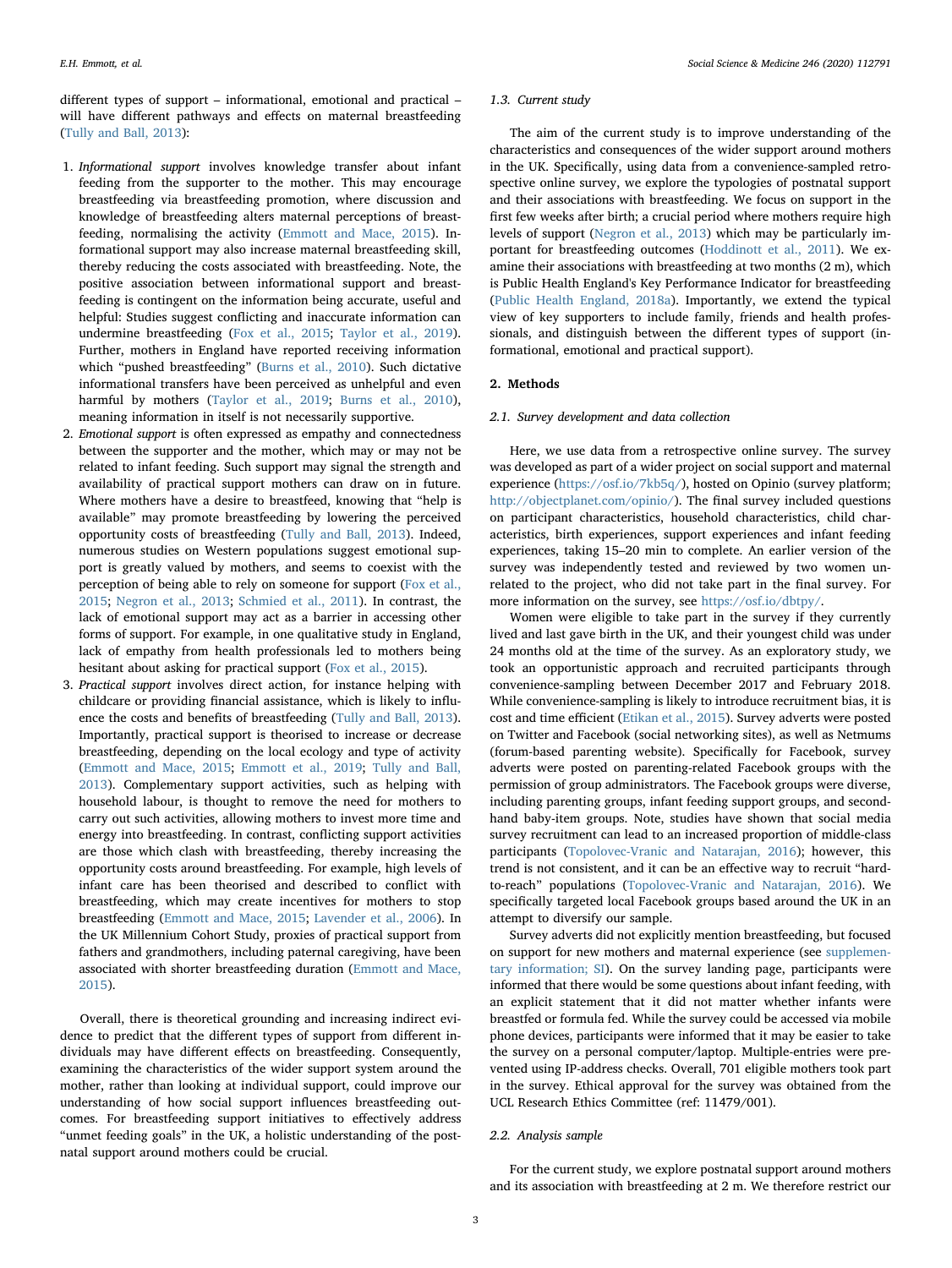different types of support – informational, emotional and practical – will have different pathways and effects on maternal breastfeeding ([Tully and Ball, 2013\)](#page-10-21):

- 1. Informational support involves knowledge transfer about infant feeding from the supporter to the mother. This may encourage breastfeeding via breastfeeding promotion, where discussion and knowledge of breastfeeding alters maternal perceptions of breastfeeding, normalising the activity [\(Emmott and Mace, 2015\)](#page-9-9). Informational support may also increase maternal breastfeeding skill, thereby reducing the costs associated with breastfeeding. Note, the positive association between informational support and breastfeeding is contingent on the information being accurate, useful and helpful: Studies suggest conflicting and inaccurate information can undermine breastfeeding [\(Fox et al., 2015;](#page-9-6) [Taylor et al., 2019](#page-10-7)). Further, mothers in England have reported receiving information which "pushed breastfeeding" ([Burns et al., 2010](#page-9-2)). Such dictative informational transfers have been perceived as unhelpful and even harmful by mothers ([Taylor et al., 2019;](#page-10-7) [Burns et al., 2010](#page-9-2)), meaning information in itself is not necessarily supportive.
- 2. Emotional support is often expressed as empathy and connectedness between the supporter and the mother, which may or may not be related to infant feeding. Such support may signal the strength and availability of practical support mothers can draw on in future. Where mothers have a desire to breastfeed, knowing that "help is available" may promote breastfeeding by lowering the perceived opportunity costs of breastfeeding ([Tully and Ball, 2013\)](#page-10-21). Indeed, numerous studies on Western populations suggest emotional support is greatly valued by mothers, and seems to coexist with the perception of being able to rely on someone for support [\(Fox et al.,](#page-9-6) [2015](#page-9-6); [Negron et al., 2013;](#page-10-22) [Schmied et al., 2011\)](#page-10-23). In contrast, the lack of emotional support may act as a barrier in accessing other forms of support. For example, in one qualitative study in England, lack of empathy from health professionals led to mothers being hesitant about asking for practical support [\(Fox et al., 2015\)](#page-9-6).
- 3. Practical support involves direct action, for instance helping with childcare or providing financial assistance, which is likely to influence the costs and benefits of breastfeeding [\(Tully and Ball, 2013](#page-10-21)). Importantly, practical support is theorised to increase or decrease breastfeeding, depending on the local ecology and type of activity [\(Emmott and Mace, 2015;](#page-9-9) [Emmott et al., 2019;](#page-9-13) [Tully and Ball,](#page-10-21) [2013](#page-10-21)). Complementary support activities, such as helping with household labour, is thought to remove the need for mothers to carry out such activities, allowing mothers to invest more time and energy into breastfeeding. In contrast, conflicting support activities are those which clash with breastfeeding, thereby increasing the opportunity costs around breastfeeding. For example, high levels of infant care has been theorised and described to conflict with breastfeeding, which may create incentives for mothers to stop breastfeeding ([Emmott and Mace, 2015](#page-9-9); [Lavender et al., 2006](#page-10-14)). In the UK Millennium Cohort Study, proxies of practical support from fathers and grandmothers, including paternal caregiving, have been associated with shorter breastfeeding duration [\(Emmott and Mace,](#page-9-9) [2015](#page-9-9)).

Overall, there is theoretical grounding and increasing indirect evidence to predict that the different types of support from different individuals may have different effects on breastfeeding. Consequently, examining the characteristics of the wider support system around the mother, rather than looking at individual support, could improve our understanding of how social support influences breastfeeding outcomes. For breastfeeding support initiatives to effectively address "unmet feeding goals" in the UK, a holistic understanding of the postnatal support around mothers could be crucial.

#### 1.3. Current study

The aim of the current study is to improve understanding of the characteristics and consequences of the wider support around mothers in the UK. Specifically, using data from a convenience-sampled retrospective online survey, we explore the typologies of postnatal support and their associations with breastfeeding. We focus on support in the first few weeks after birth; a crucial period where mothers require high levels of support [\(Negron et al., 2013](#page-10-22)) which may be particularly important for breastfeeding outcomes ([Hoddinott et al., 2011](#page-9-10)). We examine their associations with breastfeeding at two months (2 m), which is Public Health England's Key Performance Indicator for breastfeeding ([Public Health England, 2018a\)](#page-10-5). Importantly, we extend the typical view of key supporters to include family, friends and health professionals, and distinguish between the different types of support (informational, emotional and practical support).

# 2. Methods

#### 2.1. Survey development and data collection

Here, we use data from a retrospective online survey. The survey was developed as part of a wider project on social support and maternal experience (<https://osf.io/7kb5q/>), hosted on Opinio (survey platform; [http://objectplanet.com/opinio/\)](http://objectplanet.com/opinio/). The final survey included questions on participant characteristics, household characteristics, child characteristics, birth experiences, support experiences and infant feeding experiences, taking 15–20 min to complete. An earlier version of the survey was independently tested and reviewed by two women unrelated to the project, who did not take part in the final survey. For more information on the survey, see [https://osf.io/dbtpy/.](https://osf.io/dbtpy/)

Women were eligible to take part in the survey if they currently lived and last gave birth in the UK, and their youngest child was under 24 months old at the time of the survey. As an exploratory study, we took an opportunistic approach and recruited participants through convenience-sampling between December 2017 and February 2018. While convenience-sampling is likely to introduce recruitment bias, it is cost and time efficient ([Etikan et al., 2015\)](#page-9-19). Survey adverts were posted on Twitter and Facebook (social networking sites), as well as Netmums (forum-based parenting website). Specifically for Facebook, survey adverts were posted on parenting-related Facebook groups with the permission of group administrators. The Facebook groups were diverse, including parenting groups, infant feeding support groups, and secondhand baby-item groups. Note, studies have shown that social media survey recruitment can lead to an increased proportion of middle-class participants ([Topolovec-Vranic and Natarajan, 2016\)](#page-10-24); however, this trend is not consistent, and it can be an effective way to recruit "hardto-reach" populations ([Topolovec-Vranic and Natarajan, 2016](#page-10-24)). We specifically targeted local Facebook groups based around the UK in an attempt to diversify our sample.

Survey adverts did not explicitly mention breastfeeding, but focused on support for new mothers and maternal experience (see supplementary information; SI). On the survey landing page, participants were informed that there would be some questions about infant feeding, with an explicit statement that it did not matter whether infants were breastfed or formula fed. While the survey could be accessed via mobile phone devices, participants were informed that it may be easier to take the survey on a personal computer/laptop. Multiple-entries were prevented using IP-address checks. Overall, 701 eligible mothers took part in the survey. Ethical approval for the survey was obtained from the UCL Research Ethics Committee (ref: 11479/001).

### 2.2. Analysis sample

For the current study, we explore postnatal support around mothers and its association with breastfeeding at 2 m. We therefore restrict our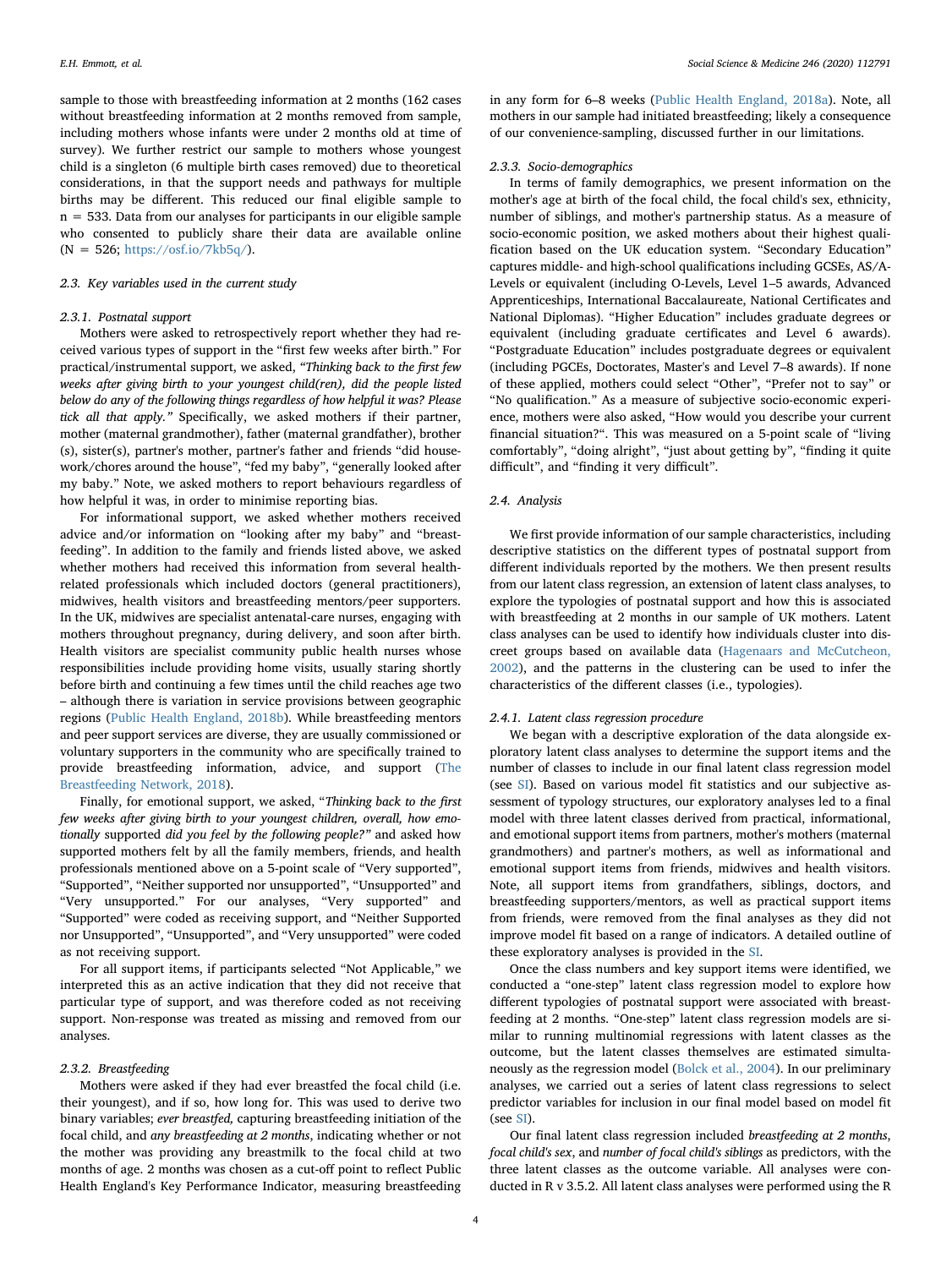sample to those with breastfeeding information at 2 months (162 cases without breastfeeding information at 2 months removed from sample, including mothers whose infants were under 2 months old at time of survey). We further restrict our sample to mothers whose youngest child is a singleton (6 multiple birth cases removed) due to theoretical considerations, in that the support needs and pathways for multiple births may be different. This reduced our final eligible sample to n = 533. Data from our analyses for participants in our eligible sample who consented to publicly share their data are available online  $(N = 526; \frac{https://osf.io/7kb5q/)}{$  $(N = 526; \frac{https://osf.io/7kb5q/)}{$  $(N = 526; \frac{https://osf.io/7kb5q/)}{$ .

# 2.3. Key variables used in the current study

# 2.3.1. Postnatal support

Mothers were asked to retrospectively report whether they had received various types of support in the "first few weeks after birth." For practical/instrumental support, we asked, "Thinking back to the first few weeks after giving birth to your youngest child(ren), did the people listed below do any of the following things regardless of how helpful it was? Please tick all that apply." Specifically, we asked mothers if their partner, mother (maternal grandmother), father (maternal grandfather), brother (s), sister(s), partner's mother, partner's father and friends "did housework/chores around the house", "fed my baby", "generally looked after my baby." Note, we asked mothers to report behaviours regardless of how helpful it was, in order to minimise reporting bias.

For informational support, we asked whether mothers received advice and/or information on "looking after my baby" and "breastfeeding". In addition to the family and friends listed above, we asked whether mothers had received this information from several healthrelated professionals which included doctors (general practitioners), midwives, health visitors and breastfeeding mentors/peer supporters. In the UK, midwives are specialist antenatal-care nurses, engaging with mothers throughout pregnancy, during delivery, and soon after birth. Health visitors are specialist community public health nurses whose responsibilities include providing home visits, usually staring shortly before birth and continuing a few times until the child reaches age two – although there is variation in service provisions between geographic regions [\(Public Health England, 2018b\)](#page-10-25). While breastfeeding mentors and peer support services are diverse, they are usually commissioned or voluntary supporters in the community who are specifically trained to provide breastfeeding information, advice, and support [\(The](#page-10-26) [Breastfeeding Network, 2018](#page-10-26)).

Finally, for emotional support, we asked, "Thinking back to the first few weeks after giving birth to your youngest children, overall, how emotionally supported did you feel by the following people?" and asked how supported mothers felt by all the family members, friends, and health professionals mentioned above on a 5-point scale of "Very supported", "Supported", "Neither supported nor unsupported", "Unsupported" and "Very unsupported." For our analyses, "Very supported" and "Supported" were coded as receiving support, and "Neither Supported nor Unsupported", "Unsupported", and "Very unsupported" were coded as not receiving support.

For all support items, if participants selected "Not Applicable," we interpreted this as an active indication that they did not receive that particular type of support, and was therefore coded as not receiving support. Non-response was treated as missing and removed from our analyses.

# 2.3.2. Breastfeeding

Mothers were asked if they had ever breastfed the focal child (i.e. their youngest), and if so, how long for. This was used to derive two binary variables; ever breastfed, capturing breastfeeding initiation of the focal child, and any breastfeeding at 2 months, indicating whether or not the mother was providing any breastmilk to the focal child at two months of age. 2 months was chosen as a cut-off point to reflect Public Health England's Key Performance Indicator, measuring breastfeeding in any form for 6–8 weeks ([Public Health England, 2018a](#page-10-5)). Note, all mothers in our sample had initiated breastfeeding; likely a consequence of our convenience-sampling, discussed further in our limitations.

### 2.3.3. Socio-demographics

In terms of family demographics, we present information on the mother's age at birth of the focal child, the focal child's sex, ethnicity, number of siblings, and mother's partnership status. As a measure of socio-economic position, we asked mothers about their highest qualification based on the UK education system. "Secondary Education" captures middle- and high-school qualifications including GCSEs, AS/A-Levels or equivalent (including O-Levels, Level 1–5 awards, Advanced Apprenticeships, International Baccalaureate, National Certificates and National Diplomas). "Higher Education" includes graduate degrees or equivalent (including graduate certificates and Level 6 awards). "Postgraduate Education" includes postgraduate degrees or equivalent (including PGCEs, Doctorates, Master's and Level 7–8 awards). If none of these applied, mothers could select "Other", "Prefer not to say" or "No qualification." As a measure of subjective socio-economic experience, mothers were also asked, "How would you describe your current financial situation?". This was measured on a 5-point scale of "living comfortably", "doing alright", "just about getting by", "finding it quite difficult", and "finding it very difficult".

# 2.4. Analysis

We first provide information of our sample characteristics, including descriptive statistics on the different types of postnatal support from different individuals reported by the mothers. We then present results from our latent class regression, an extension of latent class analyses, to explore the typologies of postnatal support and how this is associated with breastfeeding at 2 months in our sample of UK mothers. Latent class analyses can be used to identify how individuals cluster into discreet groups based on available data ([Hagenaars and McCutcheon,](#page-9-20) [2002\)](#page-9-20), and the patterns in the clustering can be used to infer the characteristics of the different classes (i.e., typologies).

# 2.4.1. Latent class regression procedure

We began with a descriptive exploration of the data alongside exploratory latent class analyses to determine the support items and the number of classes to include in our final latent class regression model (see SI). Based on various model fit statistics and our subjective assessment of typology structures, our exploratory analyses led to a final model with three latent classes derived from practical, informational, and emotional support items from partners, mother's mothers (maternal grandmothers) and partner's mothers, as well as informational and emotional support items from friends, midwives and health visitors. Note, all support items from grandfathers, siblings, doctors, and breastfeeding supporters/mentors, as well as practical support items from friends, were removed from the final analyses as they did not improve model fit based on a range of indicators. A detailed outline of these exploratory analyses is provided in the SI.

Once the class numbers and key support items were identified, we conducted a "one-step" latent class regression model to explore how different typologies of postnatal support were associated with breastfeeding at 2 months. "One-step" latent class regression models are similar to running multinomial regressions with latent classes as the outcome, but the latent classes themselves are estimated simultaneously as the regression model ([Bolck et al., 2004](#page-9-21)). In our preliminary analyses, we carried out a series of latent class regressions to select predictor variables for inclusion in our final model based on model fit (see SI).

Our final latent class regression included breastfeeding at 2 months, focal child's sex, and number of focal child's siblings as predictors, with the three latent classes as the outcome variable. All analyses were conducted in R v 3.5.2. All latent class analyses were performed using the R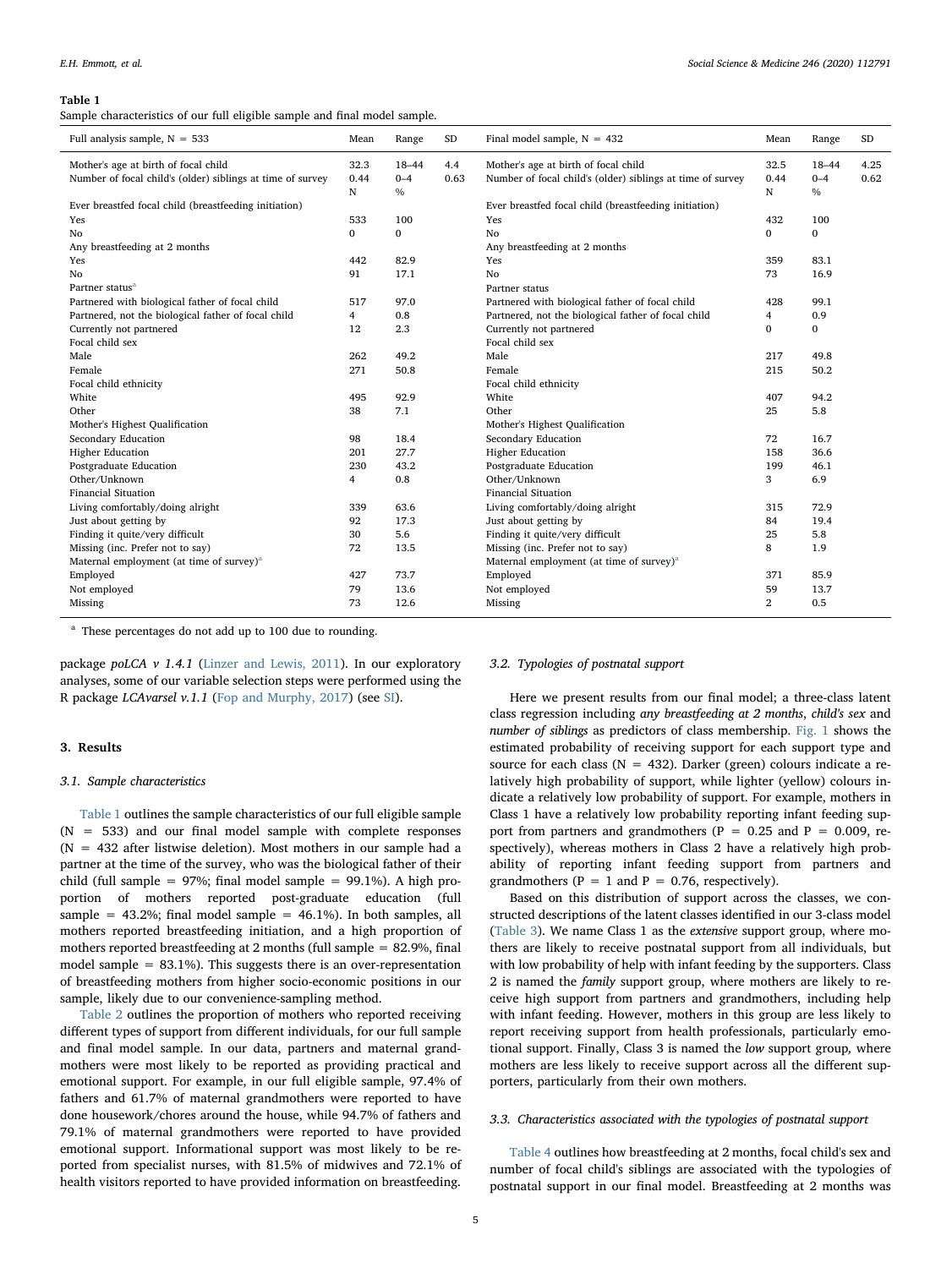#### <span id="page-4-0"></span>Table 1

Sample characteristics of our full eligible sample and final model sample.

| Full analysis sample, $N = 533$                            | Mean | Range         | <b>SD</b> | Final model sample, $N = 432$                              | Mean           | Range        | $\rm SD$ |
|------------------------------------------------------------|------|---------------|-----------|------------------------------------------------------------|----------------|--------------|----------|
| Mother's age at birth of focal child                       | 32.3 | 18-44         | 4.4       | Mother's age at birth of focal child                       | 32.5           | $18 - 44$    | 4.25     |
| Number of focal child's (older) siblings at time of survey | 0.44 | $0 - 4$       | 0.63      | Number of focal child's (older) siblings at time of survey | 0.44           | $0 - 4$      | 0.62     |
|                                                            | N    | $\frac{0}{0}$ |           |                                                            | N              | $\%$         |          |
| Ever breastfed focal child (breastfeeding initiation)      |      |               |           | Ever breastfed focal child (breastfeeding initiation)      |                |              |          |
| Yes                                                        | 533  | 100           |           | Yes                                                        | 432            | 100          |          |
| No                                                         | 0    | $\mathbf{0}$  |           | No                                                         | $\mathbf{0}$   | $\mathbf{0}$ |          |
| Any breastfeeding at 2 months                              |      |               |           | Any breastfeeding at 2 months                              |                |              |          |
| Yes                                                        | 442  | 82.9          |           | Yes                                                        | 359            | 83.1         |          |
| No                                                         | 91   | 17.1          |           | No                                                         | 73             | 16.9         |          |
| Partner status <sup>a</sup>                                |      |               |           | Partner status                                             |                |              |          |
| Partnered with biological father of focal child            | 517  | 97.0          |           | Partnered with biological father of focal child            | 428            | 99.1         |          |
| Partnered, not the biological father of focal child        | 4    | 0.8           |           | Partnered, not the biological father of focal child        | $\overline{4}$ | 0.9          |          |
| Currently not partnered                                    | 12   | 2.3           |           | Currently not partnered                                    | $\mathbf{0}$   | $\mathbf{0}$ |          |
| Focal child sex                                            |      |               |           | Focal child sex                                            |                |              |          |
| Male                                                       | 262  | 49.2          |           | Male                                                       | 217            | 49.8         |          |
| Female                                                     | 271  | 50.8          |           | Female                                                     | 215            | 50.2         |          |
| Focal child ethnicity                                      |      |               |           | Focal child ethnicity                                      |                |              |          |
| White                                                      | 495  | 92.9          |           | White                                                      | 407            | 94.2         |          |
| Other                                                      | 38   | 7.1           |           | Other                                                      | 25             | 5.8          |          |
| Mother's Highest Qualification                             |      |               |           | Mother's Highest Qualification                             |                |              |          |
| Secondary Education                                        | 98   | 18.4          |           | Secondary Education                                        | 72             | 16.7         |          |
| <b>Higher Education</b>                                    | 201  | 27.7          |           | <b>Higher Education</b>                                    | 158            | 36.6         |          |
| Postgraduate Education                                     | 230  | 43.2          |           | Postgraduate Education                                     | 199            | 46.1         |          |
| Other/Unknown                                              | 4    | 0.8           |           | Other/Unknown                                              | 3              | 6.9          |          |
| <b>Financial Situation</b>                                 |      |               |           | <b>Financial Situation</b>                                 |                |              |          |
| Living comfortably/doing alright                           | 339  | 63.6          |           | Living comfortably/doing alright                           | 315            | 72.9         |          |
| Just about getting by                                      | 92   | 17.3          |           | Just about getting by                                      | 84             | 19.4         |          |
| Finding it quite/very difficult                            | 30   | 5.6           |           | Finding it quite/very difficult                            | 25             | 5.8          |          |
| Missing (inc. Prefer not to say)                           | 72   | 13.5          |           | Missing (inc. Prefer not to say)                           | 8              | 1.9          |          |
| Maternal employment (at time of survey) <sup>a</sup>       |      |               |           | Maternal employment (at time of survey) <sup>a</sup>       |                |              |          |
| Employed                                                   | 427  | 73.7          |           | Employed                                                   | 371            | 85.9         |          |
| Not employed                                               | 79   | 13.6          |           | Not employed                                               | 59             | 13.7         |          |
| Missing                                                    | 73   | 12.6          |           | Missing                                                    | 2              | 0.5          |          |
|                                                            |      |               |           |                                                            |                |              |          |

<span id="page-4-1"></span><sup>a</sup> These percentages do not add up to 100 due to rounding.

package poLCA  $v$  1.4.1 [\(Linzer and Lewis, 2011\)](#page-10-27). In our exploratory analyses, some of our variable selection steps were performed using the R package LCAvarsel v.1.1 ([Fop and Murphy, 2017](#page-9-22)) (see SI).

### 3. Results

# 3.1. Sample characteristics

[Table 1](#page-4-0) outlines the sample characteristics of our full eligible sample  $(N = 533)$  and our final model sample with complete responses  $(N = 432$  after listwise deletion). Most mothers in our sample had a partner at the time of the survey, who was the biological father of their child (full sample =  $97\%$ ; final model sample =  $99.1\%$ ). A high proportion of mothers reported post-graduate education (full sample =  $43.2\%$ ; final model sample =  $46.1\%$ ). In both samples, all mothers reported breastfeeding initiation, and a high proportion of mothers reported breastfeeding at 2 months (full sample = 82.9%, final model sample  $= 83.1\%$ ). This suggests there is an over-representation of breastfeeding mothers from higher socio-economic positions in our sample, likely due to our convenience-sampling method.

[Table 2](#page-5-0) outlines the proportion of mothers who reported receiving different types of support from different individuals, for our full sample and final model sample. In our data, partners and maternal grandmothers were most likely to be reported as providing practical and emotional support. For example, in our full eligible sample, 97.4% of fathers and 61.7% of maternal grandmothers were reported to have done housework/chores around the house, while 94.7% of fathers and 79.1% of maternal grandmothers were reported to have provided emotional support. Informational support was most likely to be reported from specialist nurses, with 81.5% of midwives and 72.1% of health visitors reported to have provided information on breastfeeding.

# 3.2. Typologies of postnatal support

Here we present results from our final model; a three-class latent class regression including any breastfeeding at 2 months, child's sex and number of siblings as predictors of class membership. [Fig. 1](#page-6-0) shows the estimated probability of receiving support for each support type and source for each class ( $N = 432$ ). Darker (green) colours indicate a relatively high probability of support, while lighter (yellow) colours indicate a relatively low probability of support. For example, mothers in Class 1 have a relatively low probability reporting infant feeding support from partners and grandmothers ( $P = 0.25$  and  $P = 0.009$ , respectively), whereas mothers in Class 2 have a relatively high probability of reporting infant feeding support from partners and grandmothers ( $P = 1$  and  $P = 0.76$ , respectively).

Based on this distribution of support across the classes, we constructed descriptions of the latent classes identified in our 3-class model ([Table 3](#page-6-1)). We name Class 1 as the extensive support group, where mothers are likely to receive postnatal support from all individuals, but with low probability of help with infant feeding by the supporters. Class 2 is named the family support group, where mothers are likely to receive high support from partners and grandmothers, including help with infant feeding. However, mothers in this group are less likely to report receiving support from health professionals, particularly emotional support. Finally, Class 3 is named the low support group, where mothers are less likely to receive support across all the different supporters, particularly from their own mothers.

### 3.3. Characteristics associated with the typologies of postnatal support

[Table](#page-7-0) 4 outlines how breastfeeding at 2 months, focal child's sex and number of focal child's siblings are associated with the typologies of postnatal support in our final model. Breastfeeding at 2 months was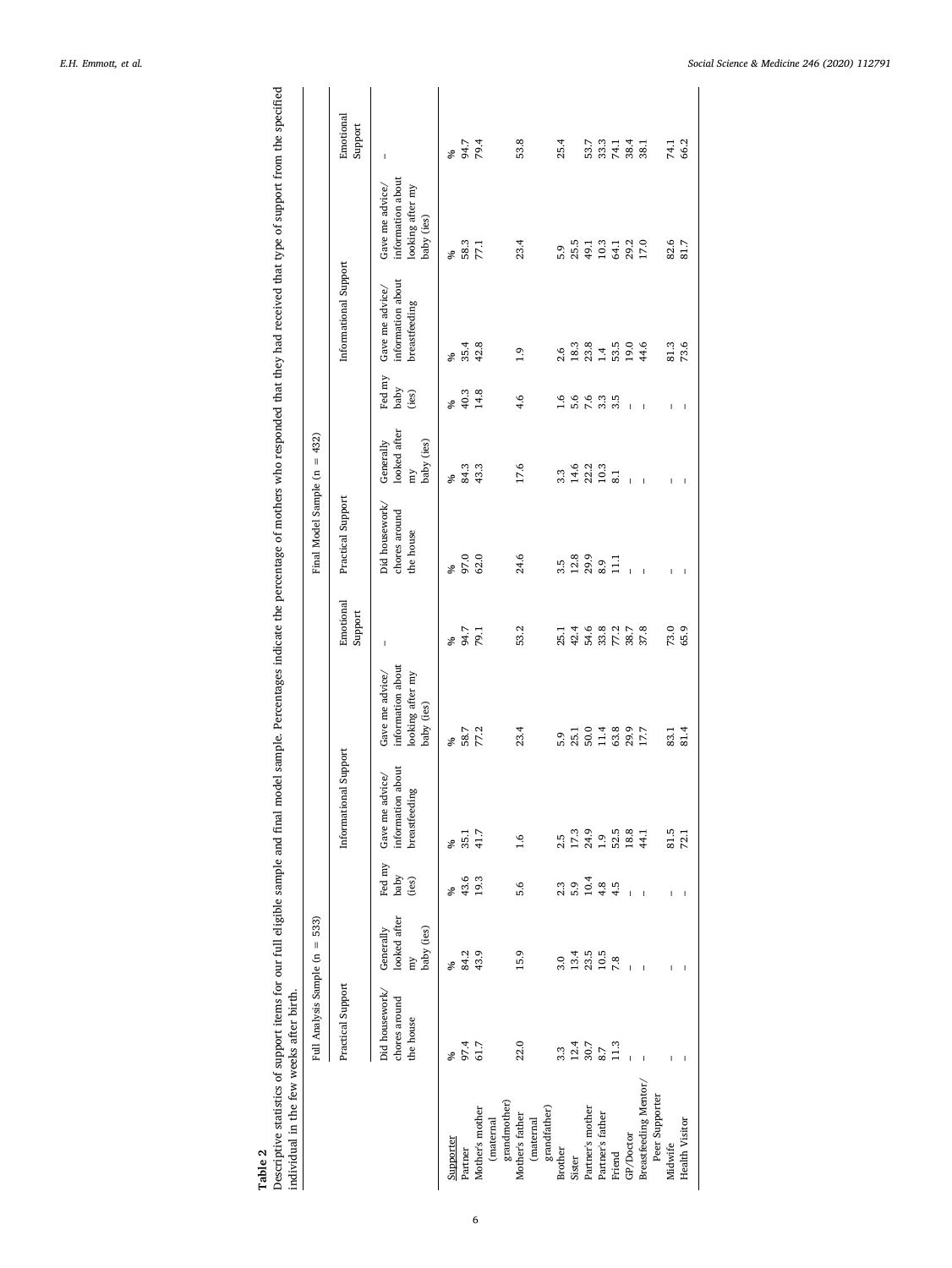<span id="page-5-0"></span>Table 2<br>Descriptive statistics of support items for our full eligible sample and final model sample. Percentages indicate the percentage of mothers who responded that they had received that type of support from the specifi Descriptive statistics of support items for our full eligible sample and final model sample. Percentages indicate the percentage of mothers who responded that they had received that type of support from the specified individual in the few weeks after birth.

|                           | Full Analysis Sample (n = 533)               |                                               |                         |                                                               |                                                                        |                                  | Final Model Sample ( $n = 432$ )             |                                               |                         |                                                       |                                                                        |                        |
|---------------------------|----------------------------------------------|-----------------------------------------------|-------------------------|---------------------------------------------------------------|------------------------------------------------------------------------|----------------------------------|----------------------------------------------|-----------------------------------------------|-------------------------|-------------------------------------------------------|------------------------------------------------------------------------|------------------------|
|                           | Practical Support                            |                                               |                         | Informational Support                                         |                                                                        | Emotional<br>Support             | Practical Support                            |                                               |                         | Informational Support                                 |                                                                        | Emotional<br>Support   |
|                           | Did housework/<br>chores around<br>the house | looked after<br>baby (ies)<br>Generally<br>my | Fed my<br>baby<br>(ies) | about<br>Gave me advice/<br>ρø<br>information<br>breastfeedir | information about<br>Gave me advice/<br>looking after my<br>baby (ies) | $\mathbf{I}$                     | Did housework/<br>chores around<br>the house | looked after<br>Generally<br>baby (ies)<br>my | Fed my<br>baby<br>(ies) | information about<br>Gave me advice/<br>breastfeeding | information about<br>Gave me advice/<br>looking after my<br>baby (ies) | $\mathbf{I}$           |
| Supporter                 | %                                            | ৡ                                             | ℅                       | ℅                                                             | S,                                                                     | ℅                                | ∘                                            | ್ಲಿ                                           | Š,                      | %                                                     | ್ಲಿ                                                                    | S,                     |
| Partner                   |                                              | 84.2                                          | 43.6                    | $35.1$<br>41.7                                                |                                                                        |                                  | 97.0                                         | 84.3                                          | 40.3                    | 35.4                                                  | 58.3                                                                   | 94.7<br>79.4           |
| Mother's mother           | 97.4<br>61.7                                 | 43.9                                          | 19.3                    |                                                               | 58.7<br>77.2                                                           | 94.7<br>79.1                     | 62.0                                         | 43.3                                          | 14.8                    | 42.8                                                  | 77.1                                                                   |                        |
| grandmother)<br>(maternal |                                              |                                               |                         |                                                               |                                                                        |                                  |                                              |                                               |                         |                                                       |                                                                        |                        |
| Mother's father           | 22.0                                         | 15.9                                          | 5.6                     | 1.6                                                           | 23.4                                                                   | 53.2                             | 24.6                                         | 17.6                                          | 4.6                     | 0.1                                                   | 23.4                                                                   | 53.8                   |
| (maternal                 |                                              |                                               |                         |                                                               |                                                                        |                                  |                                              |                                               |                         |                                                       |                                                                        |                        |
| grandfather)              |                                              |                                               |                         |                                                               |                                                                        |                                  |                                              |                                               |                         |                                                       |                                                                        |                        |
| Brother                   | 3.3                                          | 3.0                                           | 2.3                     | 2.5                                                           | 5.9                                                                    |                                  | 3.5                                          | 3.3                                           | 1.6                     | 2.6                                                   | 5.9                                                                    | 25.4                   |
| Sister                    | 12.4                                         | 13.4                                          | 5.9                     |                                                               | 25.1                                                                   | 13<br>13<br>13<br>13<br>23<br>23 | 12.8<br>29.9                                 | 14.6                                          | 5.6                     |                                                       | 25.5                                                                   |                        |
| Partner's mother          | 30.7                                         | 23.5                                          | 10.4                    | 17.3<br>24.9                                                  |                                                                        |                                  |                                              |                                               | 7.6                     | $18.3$<br>$23.8$<br>$1.4$                             | 49.1                                                                   | 53.7                   |
| Partner's father          | 8.7                                          | 10.5                                          | 4.8                     | 1.9                                                           | $0.480$<br>$0.1380$<br>$0.030$                                         |                                  | 8.9                                          | 22.2<br>10.3                                  | 3.3                     |                                                       | 10.3                                                                   |                        |
| Friend                    | 11.3                                         | 7.8                                           | 4.5                     | 52.5                                                          |                                                                        | $77.2$<br>38.7                   | $\Xi$                                        | $\overline{8.1}$                              | 3.5                     | 53.5                                                  |                                                                        | $33.3$<br>74.1<br>38.4 |
| GP/Doctor                 |                                              | $\overline{1}$                                | $\overline{1}$          | 18.8                                                          |                                                                        |                                  |                                              | $\overline{1}$                                |                         | 19.0                                                  | 64.1<br>29.2                                                           |                        |
| Breastfeeding Mentor/     | $\mathbf{I}$                                 | Ï                                             |                         | 44.1                                                          | 17.7                                                                   | 37.8                             |                                              | Ï                                             |                         | 44.6                                                  | 17.0                                                                   | 38.1                   |
| Peer Supporter            |                                              |                                               |                         |                                                               |                                                                        |                                  |                                              |                                               |                         |                                                       |                                                                        |                        |
| Midwife                   | Ï                                            | Ï                                             | Ï                       | 81.5                                                          | 83.1                                                                   | 73.0                             | Ţ                                            | $\mathbf{I}$                                  | Ï                       | 81.3                                                  | 82.6                                                                   | 74.1                   |
| <b>Health Visitor</b>     |                                              |                                               |                         | 72.1                                                          | 81.4                                                                   | 65.9                             | Ï                                            | I                                             | I                       | 73.6                                                  | 81.7                                                                   | 66.2                   |
|                           |                                              |                                               |                         |                                                               |                                                                        |                                  |                                              |                                               |                         |                                                       |                                                                        |                        |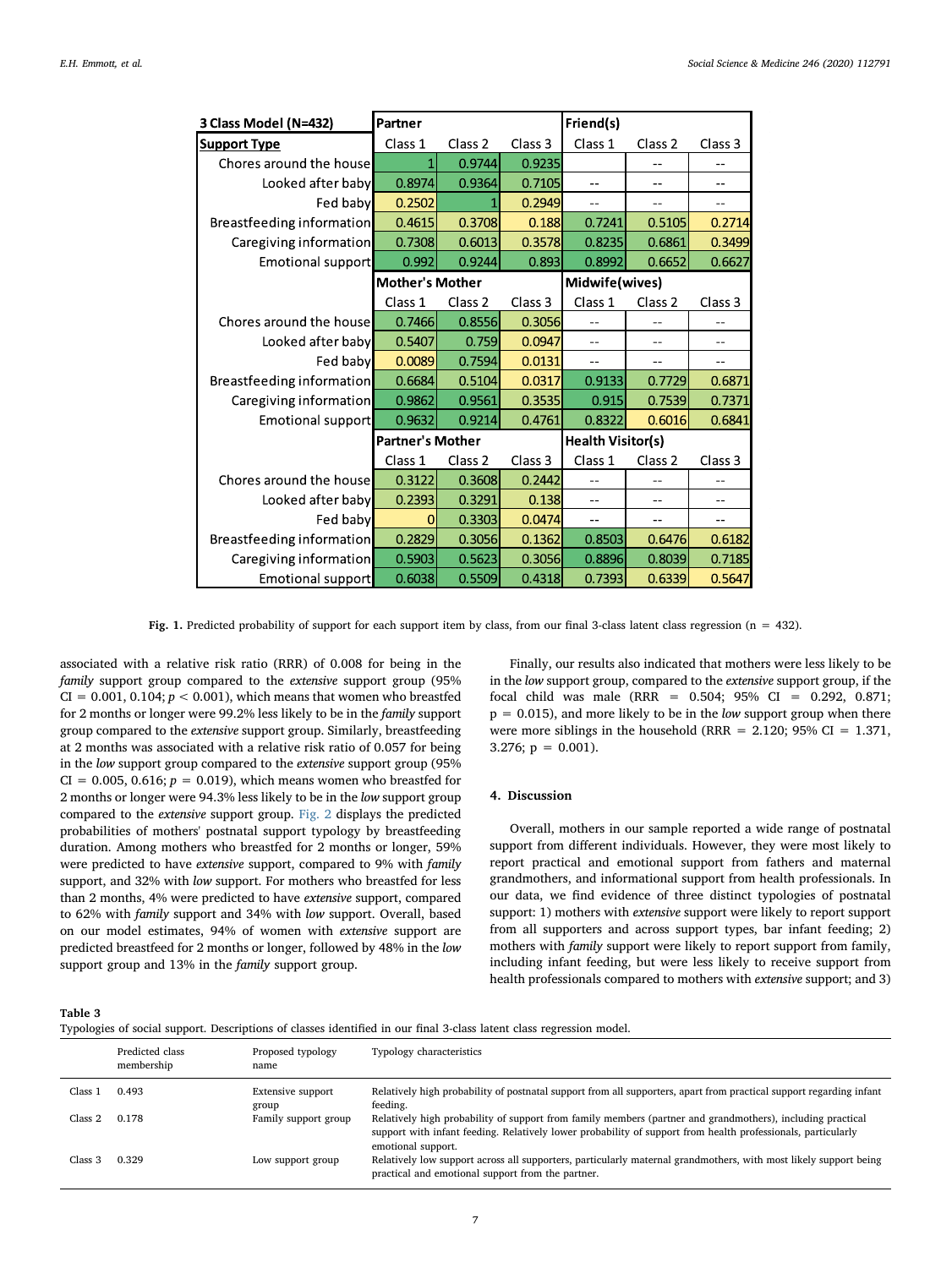<span id="page-6-0"></span>

| 3 Class Model (N=432)     | Partner                 |                    |         | Friend(s)                |                    |                    |  |
|---------------------------|-------------------------|--------------------|---------|--------------------------|--------------------|--------------------|--|
| <b>Support Type</b>       | Class 1                 | Class <sub>2</sub> | Class 3 | Class 1                  | Class <sub>2</sub> | Class 3            |  |
| Chores around the house   | 1                       | 0.9744             | 0.9235  |                          | $-$                | $-$                |  |
| Looked after baby         | 0.8974                  | 0.9364             | 0.7105  | $- -$                    | $-$                | $-$                |  |
| Fed baby                  | 0.2502                  |                    | 0.2949  | $-$                      | $-$                | $-$                |  |
| Breastfeeding information | 0.4615                  | 0.3708             | 0.188   | 0.7241                   | 0.5105             | 0.2714             |  |
| Caregiving information    | 0.7308                  | 0.6013             | 0.3578  | 0.8235                   | 0.6861             | 0.3499             |  |
| Emotional support         | 0.992                   | 0.9244             | 0.893   | 0.8992                   | 0.6652             | 0.6627             |  |
|                           | <b>Mother's Mother</b>  |                    |         | Midwife(wives)           |                    |                    |  |
|                           | Class 1                 | Class 2            | Class 3 | Class 1                  | Class <sub>2</sub> | Class <sub>3</sub> |  |
| Chores around the house   | 0.7466                  | 0.8556             | 0.3056  |                          |                    |                    |  |
| Looked after baby         | 0.5407                  | 0.759              | 0.0947  | $-$                      | --                 | --                 |  |
| Fed baby                  | 0.0089                  | 0.7594             | 0.0131  | $-$                      | $-$                | --                 |  |
| Breastfeeding information | 0.6684                  | 0.5104             | 0.0317  | 0.9133                   | 0.7729             | 0.6871             |  |
| Caregiving information    | 0.9862                  | 0.9561             | 0.3535  | 0.915                    | 0.7539             | 0.7371             |  |
| Emotional support         | 0.9632                  | 0.9214             | 0.4761  | 0.8322                   | 0.6016             | 0.6841             |  |
|                           | <b>Partner's Mother</b> |                    |         | <b>Health Visitor(s)</b> |                    |                    |  |
|                           | Class 1                 | Class <sub>2</sub> | Class 3 | Class 1                  | Class <sub>2</sub> | Class 3            |  |
| Chores around the house   | 0.3122                  | 0.3608             | 0.2442  |                          |                    | --                 |  |
| Looked after baby         | 0.2393                  | 0.3291             | 0.138   | $-1$                     |                    |                    |  |
| Fed baby                  | 0                       | 0.3303             | 0.0474  | --                       | --                 | --                 |  |
| Breastfeeding information | 0.2829                  | 0.3056             | 0.1362  | 0.8503                   | 0.6476             | 0.6182             |  |
| Caregiving information    | 0.5903                  | 0.5623             | 0.3056  | 0.8896                   | 0.8039             | 0.7185             |  |
| Emotional support         | 0.6038                  | 0.5509             | 0.4318  | 0.7393                   | 0.6339             | 0.5647             |  |

Fig. 1. Predicted probability of support for each support item by class, from our final 3-class latent class regression ( $n = 432$ ).

associated with a relative risk ratio (RRR) of 0.008 for being in the family support group compared to the extensive support group (95%  $CI = 0.001, 0.104; p < 0.001$ , which means that women who breastfed for 2 months or longer were 99.2% less likely to be in the family support group compared to the extensive support group. Similarly, breastfeeding at 2 months was associated with a relative risk ratio of 0.057 for being in the low support group compared to the extensive support group (95%  $CI = 0.005, 0.616; p = 0.019$ , which means women who breastfed for 2 months or longer were 94.3% less likely to be in the low support group compared to the extensive support group. [Fig. 2](#page-7-1) displays the predicted probabilities of mothers' postnatal support typology by breastfeeding duration. Among mothers who breastfed for 2 months or longer, 59% were predicted to have extensive support, compared to 9% with family support, and 32% with low support. For mothers who breastfed for less than 2 months, 4% were predicted to have extensive support, compared to 62% with family support and 34% with low support. Overall, based on our model estimates, 94% of women with extensive support are predicted breastfeed for 2 months or longer, followed by 48% in the low support group and 13% in the family support group.

Finally, our results also indicated that mothers were less likely to be in the low support group, compared to the extensive support group, if the focal child was male (RRR = 0.504; 95% CI = 0.292, 0.871;  $p = 0.015$ , and more likely to be in the *low* support group when there were more siblings in the household (RRR =  $2.120$ ; 95% CI =  $1.371$ , 3.276;  $p = 0.001$ ).

# 4. Discussion

Overall, mothers in our sample reported a wide range of postnatal support from different individuals. However, they were most likely to report practical and emotional support from fathers and maternal grandmothers, and informational support from health professionals. In our data, we find evidence of three distinct typologies of postnatal support: 1) mothers with extensive support were likely to report support from all supporters and across support types, bar infant feeding; 2) mothers with family support were likely to report support from family, including infant feeding, but were less likely to receive support from health professionals compared to mothers with extensive support; and 3)

<span id="page-6-1"></span>Table 3

|  |  | Typologies of social support. Descriptions of classes identified in our final 3-class latent class regression model. |
|--|--|----------------------------------------------------------------------------------------------------------------------|
|  |  |                                                                                                                      |
|  |  |                                                                                                                      |

|         | Predicted class<br>membership | Proposed typology<br>name  | Typology characteristics                                                                                                                                                                                                                         |
|---------|-------------------------------|----------------------------|--------------------------------------------------------------------------------------------------------------------------------------------------------------------------------------------------------------------------------------------------|
| Class 1 | 0.493                         | Extensive support<br>group | Relatively high probability of postnatal support from all supporters, apart from practical support regarding infant<br>feeding.                                                                                                                  |
| Class 2 | 0.178                         | Family support group       | Relatively high probability of support from family members (partner and grandmothers), including practical<br>support with infant feeding. Relatively lower probability of support from health professionals, particularly<br>emotional support. |
| Class 3 | 0.329                         | Low support group          | Relatively low support across all supporters, particularly maternal grandmothers, with most likely support being<br>practical and emotional support from the partner.                                                                            |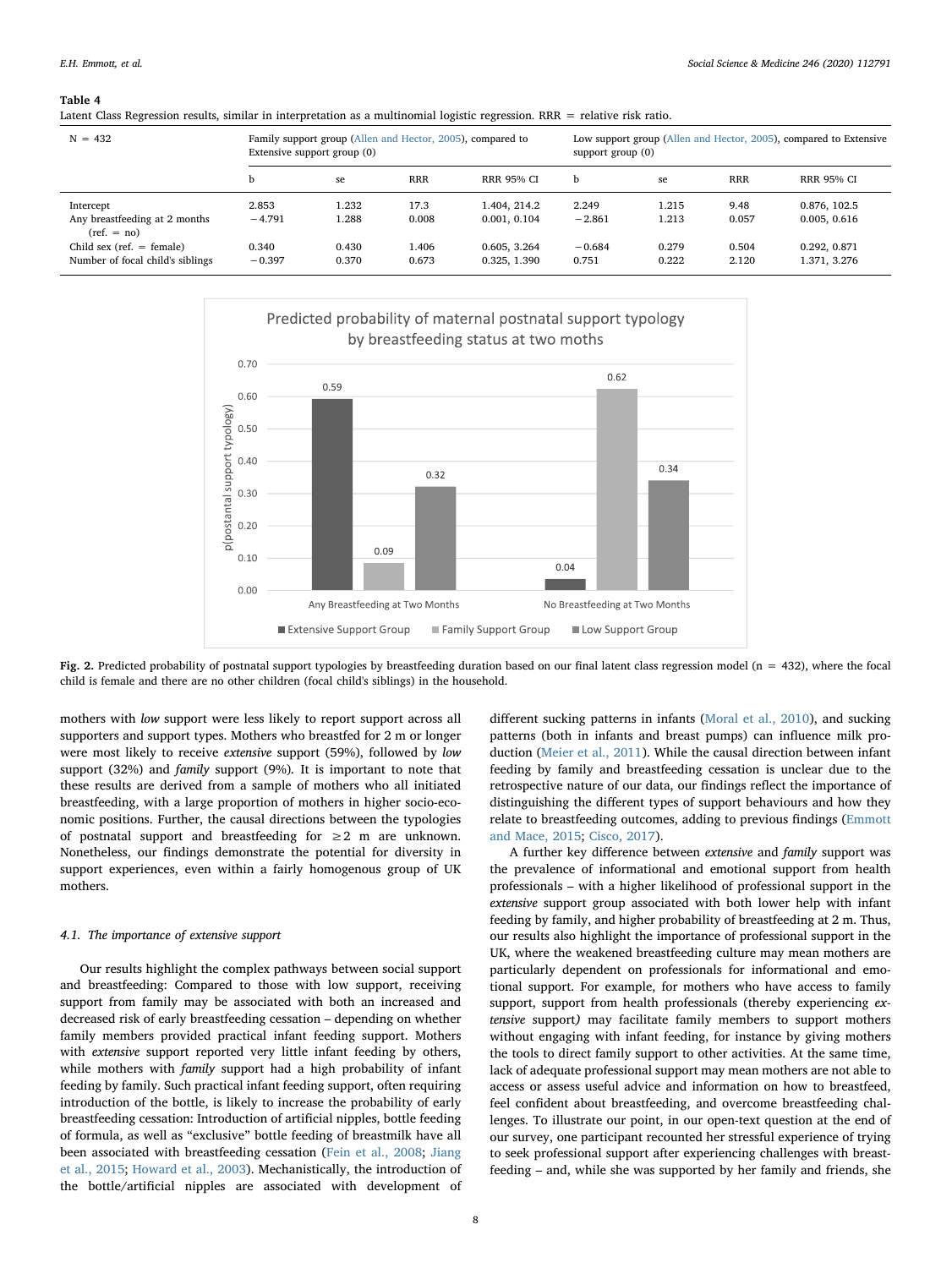### <span id="page-7-0"></span>Table 4

Latent Class Regression results, similar in interpretation as a multinomial logistic regression. RRR = relative risk ratio.

| $N = 432$                                                                                                                     | Family support group (Allen and Hector, 2005), compared to<br>Extensive support group (0) |                                  |                                 |                                                              | Low support group (Allen and Hector, 2005), compared to Extensive<br>support $group(0)$ |                                  |                                 |                                                              |  |
|-------------------------------------------------------------------------------------------------------------------------------|-------------------------------------------------------------------------------------------|----------------------------------|---------------------------------|--------------------------------------------------------------|-----------------------------------------------------------------------------------------|----------------------------------|---------------------------------|--------------------------------------------------------------|--|
|                                                                                                                               |                                                                                           | se                               | <b>RRR</b>                      | <b>RRR 95% CI</b>                                            | b                                                                                       | se                               | <b>RRR</b>                      | <b>RRR 95% CI</b>                                            |  |
| Intercept<br>Any breastfeeding at 2 months<br>$ref. = no)$<br>Child sex (ref. $=$ female)<br>Number of focal child's siblings | 2.853<br>$-4.791$<br>0.340<br>$-0.397$                                                    | 1.232<br>1.288<br>0.430<br>0.370 | 17.3<br>0.008<br>1.406<br>0.673 | 1.404, 214.2<br>0.001, 0.104<br>0.605, 3.264<br>0.325, 1.390 | 2.249<br>$-2.861$<br>$-0.684$<br>0.751                                                  | 1.215<br>1.213<br>0.279<br>0.222 | 9.48<br>0.057<br>0.504<br>2.120 | 0.876, 102.5<br>0.005, 0.616<br>0.292, 0.871<br>1.371, 3.276 |  |

<span id="page-7-1"></span>

Fig. 2. Predicted probability of postnatal support typologies by breastfeeding duration based on our final latent class regression model (n = 432), where the focal child is female and there are no other children (focal child's siblings) in the household.

mothers with low support were less likely to report support across all supporters and support types. Mothers who breastfed for 2 m or longer were most likely to receive extensive support (59%), followed by low support (32%) and family support (9%). It is important to note that these results are derived from a sample of mothers who all initiated breastfeeding, with a large proportion of mothers in higher socio-economic positions. Further, the causal directions between the typologies of postnatal support and breastfeeding for  $\geq 2$  m are unknown. Nonetheless, our findings demonstrate the potential for diversity in support experiences, even within a fairly homogenous group of UK mothers.

# 4.1. The importance of extensive support

Our results highlight the complex pathways between social support and breastfeeding: Compared to those with low support, receiving support from family may be associated with both an increased and decreased risk of early breastfeeding cessation – depending on whether family members provided practical infant feeding support. Mothers with extensive support reported very little infant feeding by others, while mothers with *family* support had a high probability of infant feeding by family. Such practical infant feeding support, often requiring introduction of the bottle, is likely to increase the probability of early breastfeeding cessation: Introduction of artificial nipples, bottle feeding of formula, as well as "exclusive" bottle feeding of breastmilk have all been associated with breastfeeding cessation [\(Fein et al., 2008](#page-9-16); [Jiang](#page-9-23) [et al., 2015](#page-9-23); [Howard et al., 2003](#page-9-24)). Mechanistically, the introduction of the bottle/artificial nipples are associated with development of different sucking patterns in infants [\(Moral et al., 2010\)](#page-10-28), and sucking patterns (both in infants and breast pumps) can influence milk production ([Meier et al., 2011\)](#page-10-29). While the causal direction between infant feeding by family and breastfeeding cessation is unclear due to the retrospective nature of our data, our findings reflect the importance of distinguishing the different types of support behaviours and how they relate to breastfeeding outcomes, adding to previous findings ([Emmott](#page-9-9) [and Mace, 2015;](#page-9-9) [Cisco, 2017](#page-9-25)).

A further key difference between extensive and family support was the prevalence of informational and emotional support from health professionals – with a higher likelihood of professional support in the extensive support group associated with both lower help with infant feeding by family, and higher probability of breastfeeding at 2 m. Thus, our results also highlight the importance of professional support in the UK, where the weakened breastfeeding culture may mean mothers are particularly dependent on professionals for informational and emotional support. For example, for mothers who have access to family support, support from health professionals (thereby experiencing extensive support) may facilitate family members to support mothers without engaging with infant feeding, for instance by giving mothers the tools to direct family support to other activities. At the same time, lack of adequate professional support may mean mothers are not able to access or assess useful advice and information on how to breastfeed, feel confident about breastfeeding, and overcome breastfeeding challenges. To illustrate our point, in our open-text question at the end of our survey, one participant recounted her stressful experience of trying to seek professional support after experiencing challenges with breastfeeding – and, while she was supported by her family and friends, she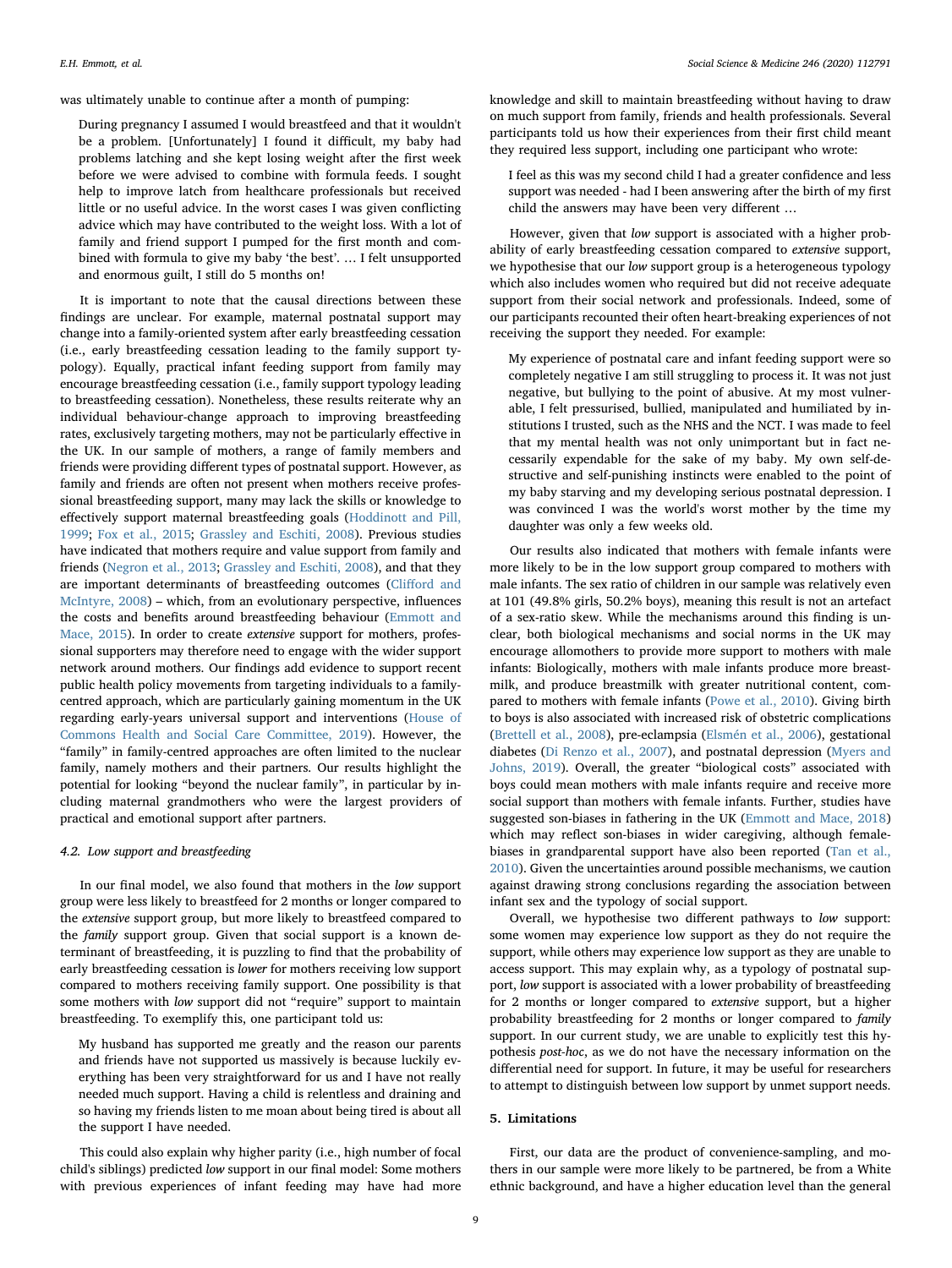was ultimately unable to continue after a month of pumping:

During pregnancy I assumed I would breastfeed and that it wouldn't be a problem. [Unfortunately] I found it difficult, my baby had problems latching and she kept losing weight after the first week before we were advised to combine with formula feeds. I sought help to improve latch from healthcare professionals but received little or no useful advice. In the worst cases I was given conflicting advice which may have contributed to the weight loss. With a lot of family and friend support I pumped for the first month and combined with formula to give my baby 'the best'. … I felt unsupported and enormous guilt, I still do 5 months on!

It is important to note that the causal directions between these findings are unclear. For example, maternal postnatal support may change into a family-oriented system after early breastfeeding cessation (i.e., early breastfeeding cessation leading to the family support typology). Equally, practical infant feeding support from family may encourage breastfeeding cessation (i.e., family support typology leading to breastfeeding cessation). Nonetheless, these results reiterate why an individual behaviour-change approach to improving breastfeeding rates, exclusively targeting mothers, may not be particularly effective in the UK. In our sample of mothers, a range of family members and friends were providing different types of postnatal support. However, as family and friends are often not present when mothers receive professional breastfeeding support, many may lack the skills or knowledge to effectively support maternal breastfeeding goals ([Hoddinott and Pill,](#page-9-5) [1999;](#page-9-5) [Fox et al., 2015;](#page-9-6) [Grassley and Eschiti, 2008\)](#page-9-26). Previous studies have indicated that mothers require and value support from family and friends [\(Negron et al., 2013;](#page-10-22) [Grassley and Eschiti, 2008\)](#page-9-26), and that they are important determinants of breastfeeding outcomes (Cliff[ord and](#page-9-11) [McIntyre, 2008](#page-9-11)) – which, from an evolutionary perspective, influences the costs and benefits around breastfeeding behaviour ([Emmott and](#page-9-9) [Mace, 2015\)](#page-9-9). In order to create extensive support for mothers, professional supporters may therefore need to engage with the wider support network around mothers. Our findings add evidence to support recent public health policy movements from targeting individuals to a familycentred approach, which are particularly gaining momentum in the UK regarding early-years universal support and interventions ([House of](#page-9-27) [Commons Health and Social Care Committee, 2019](#page-9-27)). However, the "family" in family-centred approaches are often limited to the nuclear family, namely mothers and their partners. Our results highlight the potential for looking "beyond the nuclear family", in particular by including maternal grandmothers who were the largest providers of practical and emotional support after partners.

# 4.2. Low support and breastfeeding

In our final model, we also found that mothers in the low support group were less likely to breastfeed for 2 months or longer compared to the extensive support group, but more likely to breastfeed compared to the family support group. Given that social support is a known determinant of breastfeeding, it is puzzling to find that the probability of early breastfeeding cessation is lower for mothers receiving low support compared to mothers receiving family support. One possibility is that some mothers with low support did not "require" support to maintain breastfeeding. To exemplify this, one participant told us:

My husband has supported me greatly and the reason our parents and friends have not supported us massively is because luckily everything has been very straightforward for us and I have not really needed much support. Having a child is relentless and draining and so having my friends listen to me moan about being tired is about all the support I have needed.

This could also explain why higher parity (i.e., high number of focal child's siblings) predicted low support in our final model: Some mothers with previous experiences of infant feeding may have had more knowledge and skill to maintain breastfeeding without having to draw on much support from family, friends and health professionals. Several participants told us how their experiences from their first child meant they required less support, including one participant who wrote:

I feel as this was my second child I had a greater confidence and less support was needed - had I been answering after the birth of my first child the answers may have been very different …

However, given that low support is associated with a higher probability of early breastfeeding cessation compared to extensive support, we hypothesise that our *low* support group is a heterogeneous typology which also includes women who required but did not receive adequate support from their social network and professionals. Indeed, some of our participants recounted their often heart-breaking experiences of not receiving the support they needed. For example:

My experience of postnatal care and infant feeding support were so completely negative I am still struggling to process it. It was not just negative, but bullying to the point of abusive. At my most vulnerable, I felt pressurised, bullied, manipulated and humiliated by institutions I trusted, such as the NHS and the NCT. I was made to feel that my mental health was not only unimportant but in fact necessarily expendable for the sake of my baby. My own self-destructive and self-punishing instincts were enabled to the point of my baby starving and my developing serious postnatal depression. I was convinced I was the world's worst mother by the time my daughter was only a few weeks old.

Our results also indicated that mothers with female infants were more likely to be in the low support group compared to mothers with male infants. The sex ratio of children in our sample was relatively even at 101 (49.8% girls, 50.2% boys), meaning this result is not an artefact of a sex-ratio skew. While the mechanisms around this finding is unclear, both biological mechanisms and social norms in the UK may encourage allomothers to provide more support to mothers with male infants: Biologically, mothers with male infants produce more breastmilk, and produce breastmilk with greater nutritional content, compared to mothers with female infants [\(Powe et al., 2010\)](#page-10-30). Giving birth to boys is also associated with increased risk of obstetric complications ([Brettell et al., 2008](#page-9-28)), pre-eclampsia [\(Elsmén et al., 2006](#page-9-29)), gestational diabetes ([Di Renzo et al., 2007\)](#page-9-30), and postnatal depression [\(Myers and](#page-10-31) [Johns, 2019\)](#page-10-31). Overall, the greater "biological costs" associated with boys could mean mothers with male infants require and receive more social support than mothers with female infants. Further, studies have suggested son-biases in fathering in the UK ([Emmott and Mace, 2018\)](#page-9-31) which may reflect son-biases in wider caregiving, although femalebiases in grandparental support have also been reported ([Tan et al.,](#page-10-32) [2010\)](#page-10-32). Given the uncertainties around possible mechanisms, we caution against drawing strong conclusions regarding the association between infant sex and the typology of social support.

Overall, we hypothesise two different pathways to low support: some women may experience low support as they do not require the support, while others may experience low support as they are unable to access support. This may explain why, as a typology of postnatal support, low support is associated with a lower probability of breastfeeding for 2 months or longer compared to extensive support, but a higher probability breastfeeding for 2 months or longer compared to family support. In our current study, we are unable to explicitly test this hypothesis post-hoc, as we do not have the necessary information on the differential need for support. In future, it may be useful for researchers to attempt to distinguish between low support by unmet support needs.

# 5. Limitations

First, our data are the product of convenience-sampling, and mothers in our sample were more likely to be partnered, be from a White ethnic background, and have a higher education level than the general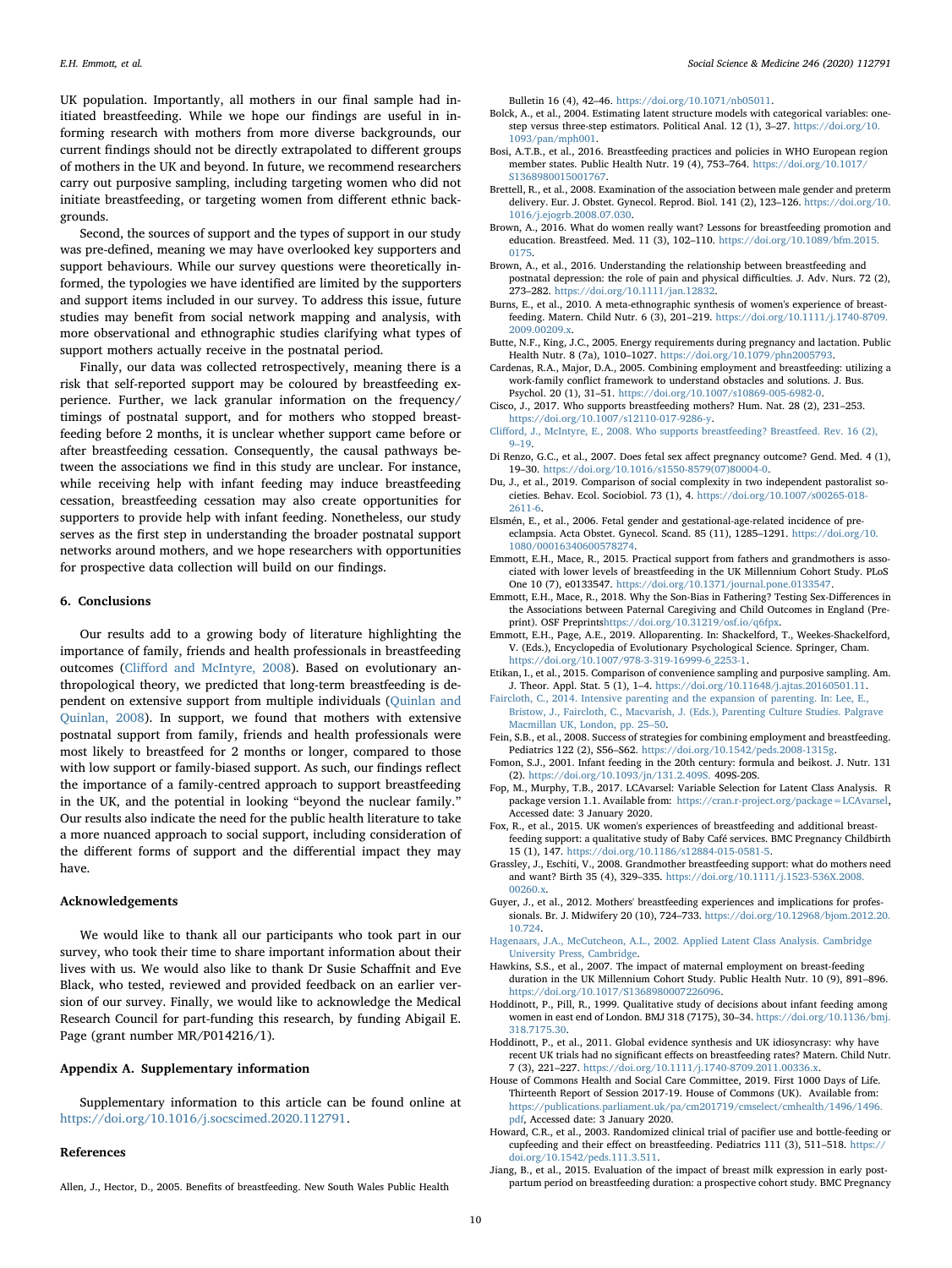UK population. Importantly, all mothers in our final sample had initiated breastfeeding. While we hope our findings are useful in informing research with mothers from more diverse backgrounds, our current findings should not be directly extrapolated to different groups of mothers in the UK and beyond. In future, we recommend researchers carry out purposive sampling, including targeting women who did not initiate breastfeeding, or targeting women from different ethnic backgrounds.

Second, the sources of support and the types of support in our study was pre-defined, meaning we may have overlooked key supporters and support behaviours. While our survey questions were theoretically informed, the typologies we have identified are limited by the supporters and support items included in our survey. To address this issue, future studies may benefit from social network mapping and analysis, with more observational and ethnographic studies clarifying what types of support mothers actually receive in the postnatal period.

Finally, our data was collected retrospectively, meaning there is a risk that self-reported support may be coloured by breastfeeding experience. Further, we lack granular information on the frequency/ timings of postnatal support, and for mothers who stopped breastfeeding before 2 months, it is unclear whether support came before or after breastfeeding cessation. Consequently, the causal pathways between the associations we find in this study are unclear. For instance, while receiving help with infant feeding may induce breastfeeding cessation, breastfeeding cessation may also create opportunities for supporters to provide help with infant feeding. Nonetheless, our study serves as the first step in understanding the broader postnatal support networks around mothers, and we hope researchers with opportunities for prospective data collection will build on our findings.

### 6. Conclusions

Our results add to a growing body of literature highlighting the importance of family, friends and health professionals in breastfeeding outcomes (Cliff[ord and McIntyre, 2008](#page-9-11)). Based on evolutionary anthropological theory, we predicted that long-term breastfeeding is dependent on extensive support from multiple individuals [\(Quinlan and](#page-10-17) [Quinlan, 2008](#page-10-17)). In support, we found that mothers with extensive postnatal support from family, friends and health professionals were most likely to breastfeed for 2 months or longer, compared to those with low support or family-biased support. As such, our findings reflect the importance of a family-centred approach to support breastfeeding in the UK, and the potential in looking "beyond the nuclear family.' Our results also indicate the need for the public health literature to take a more nuanced approach to social support, including consideration of the different forms of support and the differential impact they may have.

### Acknowledgements

We would like to thank all our participants who took part in our survey, who took their time to share important information about their lives with us. We would also like to thank Dr Susie Schaffnit and Eve Black, who tested, reviewed and provided feedback on an earlier version of our survey. Finally, we would like to acknowledge the Medical Research Council for part-funding this research, by funding Abigail E. Page (grant number MR/P014216/1).

# Appendix A. Supplementary information

Supplementary information to this article can be found online at [https://doi.org/10.1016/j.socscimed.2020.112791.](https://doi.org/10.1016/j.socscimed.2020.112791)

# References

<span id="page-9-0"></span>Allen, J., Hector, D., 2005. Benefits of breastfeeding. New South Wales Public Health

Bulletin 16 (4), 42–46. [https://doi.org/10.1071/nb05011.](https://doi.org/10.1071/nb05011)

- <span id="page-9-21"></span>Bolck, A., et al., 2004. Estimating latent structure models with categorical variables: onestep versus three-step estimators. Political Anal. 12 (1), 3–27. [https://doi.org/10.](https://doi.org/10.1093/pan/mph001) [1093/pan/mph001.](https://doi.org/10.1093/pan/mph001)
- <span id="page-9-1"></span>Bosi, A.T.B., et al., 2016. Breastfeeding practices and policies in WHO European region member states. Public Health Nutr. 19 (4), 753–764. [https://doi.org/10.1017/](https://doi.org/10.1017/S1368980015001767) [S1368980015001767](https://doi.org/10.1017/S1368980015001767).
- <span id="page-9-28"></span>Brettell, R., et al., 2008. Examination of the association between male gender and preterm delivery. Eur. J. Obstet. Gynecol. Reprod. Biol. 141 (2), 123–126. [https://doi.org/10.](https://doi.org/10.1016/j.ejogrb.2008.07.030) [1016/j.ejogrb.2008.07.030](https://doi.org/10.1016/j.ejogrb.2008.07.030).
- <span id="page-9-7"></span>Brown, A., 2016. What do women really want? Lessons for breastfeeding promotion and education. Breastfeed. Med. 11 (3), 102–110. [https://doi.org/10.1089/bfm.2015.](https://doi.org/10.1089/bfm.2015.0175) [0175.](https://doi.org/10.1089/bfm.2015.0175)
- <span id="page-9-3"></span>Brown, A., et al., 2016. Understanding the relationship between breastfeeding and postnatal depression: the role of pain and physical difficulties. J. Adv. Nurs. 72 (2), 273–282. <https://doi.org/10.1111/jan.12832>.
- <span id="page-9-2"></span>Burns, E., et al., 2010. A meta‐ethnographic synthesis of women's experience of breastfeeding. Matern. Child Nutr. 6 (3), 201–219. [https://doi.org/10.1111/j.1740-8709.](https://doi.org/10.1111/j.1740-8709.2009.00209.x) [2009.00209.x.](https://doi.org/10.1111/j.1740-8709.2009.00209.x)
- <span id="page-9-12"></span>Butte, N.F., King, J.C., 2005. Energy requirements during pregnancy and lactation. Public Health Nutr. 8 (7a), 1010–1027. <https://doi.org/10.1079/phn2005793>.
- <span id="page-9-15"></span>Cardenas, R.A., Major, D.A., 2005. Combining employment and breastfeeding: utilizing a work-family conflict framework to understand obstacles and solutions. J. Bus. Psychol. 20 (1), 31–51. <https://doi.org/10.1007/s10869-005-6982-0>.
- <span id="page-9-25"></span>Cisco, J., 2017. Who supports breastfeeding mothers? Hum. Nat. 28 (2), 231–253. <https://doi.org/10.1007/s12110-017-9286-y>.
- <span id="page-9-11"></span>Cliff[ord, J., McIntyre, E., 2008. Who supports breastfeeding? Breastfeed. Rev. 16 \(2\),](http://refhub.elsevier.com/S0277-9536(20)30010-1/sref11) 9–[19.](http://refhub.elsevier.com/S0277-9536(20)30010-1/sref11)
- <span id="page-9-30"></span>Di Renzo, G.C., et al., 2007. Does fetal sex affect pregnancy outcome? Gend. Med. 4 (1), 19–30. [https://doi.org/10.1016/s1550-8579\(07\)80004-0.](https://doi.org/10.1016/s1550-8579(07)80004-0)
- <span id="page-9-17"></span>Du, J., et al., 2019. Comparison of social complexity in two independent pastoralist societies. Behav. Ecol. Sociobiol. 73 (1), 4. [https://doi.org/10.1007/s00265-018-](https://doi.org/10.1007/s00265-018-2611-6) [2611-6.](https://doi.org/10.1007/s00265-018-2611-6)
- <span id="page-9-29"></span>Elsmén, E., et al., 2006. Fetal gender and gestational-age-related incidence of preeclampsia. Acta Obstet. Gynecol. Scand. 85 (11), 1285–1291. [https://doi.org/10.](https://doi.org/10.1080/00016340600578274) [1080/00016340600578274](https://doi.org/10.1080/00016340600578274).
- <span id="page-9-9"></span>Emmott, E.H., Mace, R., 2015. Practical support from fathers and grandmothers is associated with lower levels of breastfeeding in the UK Millennium Cohort Study. PLoS One 10 (7), e0133547. <https://doi.org/10.1371/journal.pone.0133547>.
- <span id="page-9-31"></span>Emmott, E.H., Mace, R., 2018. Why the Son-Bias in Fathering? Testing Sex-Differences in the Associations between Paternal Caregiving and Child Outcomes in England (Preprint). OSF Preprints[https://doi.org/10.31219/osf.io/q6fpx.](https://doi.org/10.31219/osf.io/q6fpx)
- <span id="page-9-13"></span>Emmott, E.H., Page, A.E., 2019. Alloparenting. In: Shackelford, T., Weekes-Shackelford, V. (Eds.), Encyclopedia of Evolutionary Psychological Science. Springer, Cham. [https://doi.org/10.1007/978-3-319-16999-6\\_2253-1](https://doi.org/10.1007/978-3-319-16999-6_2253-1).
- <span id="page-9-19"></span>Etikan, I., et al., 2015. Comparison of convenience sampling and purposive sampling. Am. J. Theor. Appl. Stat. 5 (1), 1–4. [https://doi.org/10.11648/j.ajtas.20160501.11.](https://doi.org/10.11648/j.ajtas.20160501.11)
- <span id="page-9-18"></span>[Faircloth, C., 2014. Intensive parenting and the expansion of parenting. In: Lee, E.,](http://refhub.elsevier.com/S0277-9536(20)30010-1/sref19) [Bristow, J., Faircloth, C., Macvarish, J. \(Eds.\), Parenting Culture Studies. Palgrave](http://refhub.elsevier.com/S0277-9536(20)30010-1/sref19) [Macmillan UK, London, pp. 25](http://refhub.elsevier.com/S0277-9536(20)30010-1/sref19)–50.
- <span id="page-9-16"></span>Fein, S.B., et al., 2008. Success of strategies for combining employment and breastfeeding. Pediatrics 122 (2), S56–S62. <https://doi.org/10.1542/peds.2008-1315g>.
- <span id="page-9-4"></span>Fomon, S.J., 2001. Infant feeding in the 20th century: formula and beikost. J. Nutr. 131 (2). [https://doi.org/10.1093/jn/131.2.409S.](https://doi.org/10.1093/jn/131.2.409S) 409S-20S.
- <span id="page-9-22"></span>Fop, M., Murphy, T.B., 2017. LCAvarsel: Variable Selection for Latent Class Analysis. R package version 1.1. Available from: [https://cran.r-project.org/package=LCAvarsel,](https://cran.r-project.org/package=LCAvarsel) Accessed date: 3 January 2020.
- <span id="page-9-6"></span>Fox, R., et al., 2015. UK women's experiences of breastfeeding and additional breastfeeding support: a qualitative study of Baby Café services. BMC Pregnancy Childbirth 15 (1), 147. [https://doi.org/10.1186/s12884-015-0581-5.](https://doi.org/10.1186/s12884-015-0581-5)
- <span id="page-9-26"></span>Grassley, J., Eschiti, V., 2008. Grandmother breastfeeding support: what do mothers need and want? Birth 35 (4), 329–335. [https://doi.org/10.1111/j.1523-536X.2008.](https://doi.org/10.1111/j.1523-536X.2008.00260.x) [00260.x.](https://doi.org/10.1111/j.1523-536X.2008.00260.x)
- <span id="page-9-8"></span>Guyer, J., et al., 2012. Mothers' breastfeeding experiences and implications for professionals. Br. J. Midwifery 20 (10), 724–733. [https://doi.org/10.12968/bjom.2012.20.](https://doi.org/10.12968/bjom.2012.20.10.724) [10.724](https://doi.org/10.12968/bjom.2012.20.10.724).
- <span id="page-9-20"></span>[Hagenaars, J.A., McCutcheon, A.L., 2002. Applied Latent Class Analysis. Cambridge](http://refhub.elsevier.com/S0277-9536(20)30010-1/sref26) [University Press, Cambridge.](http://refhub.elsevier.com/S0277-9536(20)30010-1/sref26)
- <span id="page-9-14"></span>Hawkins, S.S., et al., 2007. The impact of maternal employment on breast-feeding duration in the UK Millennium Cohort Study. Public Health Nutr. 10 (9), 891–896. <https://doi.org/10.1017/S1368980007226096>.
- <span id="page-9-5"></span>Hoddinott, P., Pill, R., 1999. Qualitative study of decisions about infant feeding among women in east end of London. BMJ 318 (7175), 30–34. [https://doi.org/10.1136/bmj.](https://doi.org/10.1136/bmj.318.7175.30) [318.7175.30](https://doi.org/10.1136/bmj.318.7175.30).
- <span id="page-9-10"></span>Hoddinott, P., et al., 2011. Global evidence synthesis and UK idiosyncrasy: why have recent UK trials had no significant effects on breastfeeding rates? Matern. Child Nutr. 7 (3), 221–227. <https://doi.org/10.1111/j.1740-8709.2011.00336.x>.
- <span id="page-9-27"></span>House of Commons Health and Social Care Committee, 2019. First 1000 Days of Life. Thirteenth Report of Session 2017-19. House of Commons (UK). Available from: [https://publications.parliament.uk/pa/cm201719/cmselect/cmhealth/1496/1496.](https://publications.parliament.uk/pa/cm201719/cmselect/cmhealth/1496/1496.pdf) [pdf,](https://publications.parliament.uk/pa/cm201719/cmselect/cmhealth/1496/1496.pdf) Accessed date: 3 January 2020.
- <span id="page-9-24"></span>Howard, C.R., et al., 2003. Randomized clinical trial of pacifier use and bottle-feeding or cupfeeding and their effect on breastfeeding. Pediatrics 111 (3), 511–518. [https://](https://doi.org/10.1542/peds.111.3.511) [doi.org/10.1542/peds.111.3.511.](https://doi.org/10.1542/peds.111.3.511)
- <span id="page-9-23"></span>Jiang, B., et al., 2015. Evaluation of the impact of breast milk expression in early postpartum period on breastfeeding duration: a prospective cohort study. BMC Pregnancy